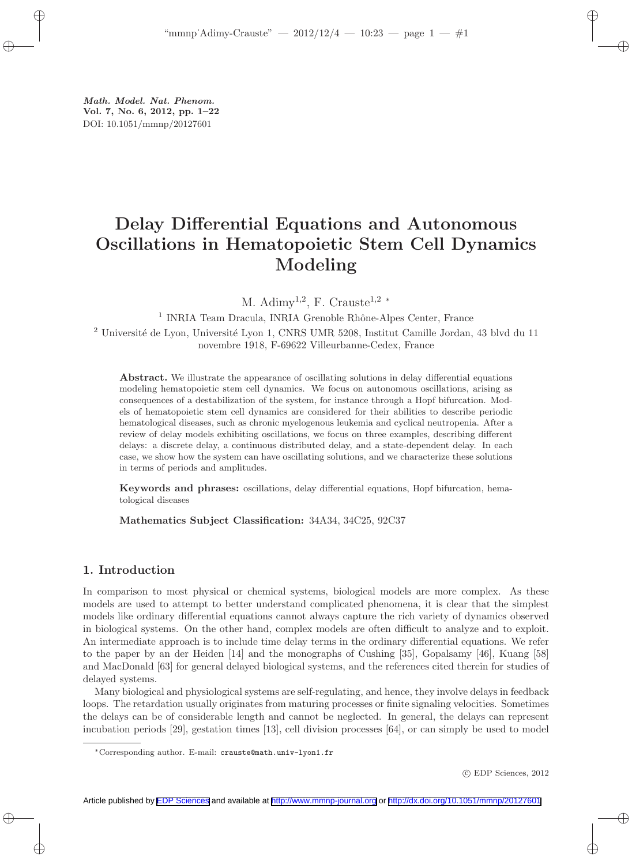Math. Model. Nat. Phenom. Vol. 7, No. 6, 2012, pp. 1–22 DOI: 10.1051/mmnp/20127601

# Delay Differential Equations and Autonomous Oscillations in Hematopoietic Stem Cell Dynamics Modeling

M.  $\text{Adimy}^{1,2}$ , F. Crauste<sup>1,2</sup> \*

<sup>1</sup> INRIA Team Dracula, INRIA Grenoble Rhône-Alpes Center, France

<sup>2</sup> Université de Lyon, Université Lyon 1, CNRS UMR 5208, Institut Camille Jordan, 43 blvd du 11 novembre 1918, F-69622 Villeurbanne-Cedex, France

Abstract. We illustrate the appearance of oscillating solutions in delay differential equations modeling hematopoietic stem cell dynamics. We focus on autonomous oscillations, arising as consequences of a destabilization of the system, for instance through a Hopf bifurcation. Models of hematopoietic stem cell dynamics are considered for their abilities to describe periodic hematological diseases, such as chronic myelogenous leukemia and cyclical neutropenia. After a review of delay models exhibiting oscillations, we focus on three examples, describing different delays: a discrete delay, a continuous distributed delay, and a state-dependent delay. In each case, we show how the system can have oscillating solutions, and we characterize these solutions in terms of periods and amplitudes.

Keywords and phrases: oscillations, delay differential equations, Hopf bifurcation, hematological diseases

Mathematics Subject Classification: 34A34, 34C25, 92C37

# 1. Introduction

In comparison to most physical or chemical systems, biological models are more complex. As these models are used to attempt to better understand complicated phenomena, it is clear that the simplest models like ordinary differential equations cannot always capture the rich variety of dynamics observed in biological systems. On the other hand, complex models are often difficult to analyze and to exploit. An intermediate approach is to include time delay terms in the ordinary differential equations. We refer to the paper by an der Heiden [14] and the monographs of Cushing [35], Gopalsamy [46], Kuang [58] and MacDonald [63] for general delayed biological systems, and the references cited therein for studies of delayed systems.

Many biological and physiological systems are self-regulating, and hence, they involve delays in feedback loops. The retardation usually originates from maturing processes or finite signaling velocities. Sometimes the delays can be of considerable length and cannot be neglected. In general, the delays can represent incubation periods [29], gestation times [13], cell division processes [64], or can simply be used to model

<sup>∗</sup>Corresponding author. E-mail: crauste@math.univ-lyon1.fr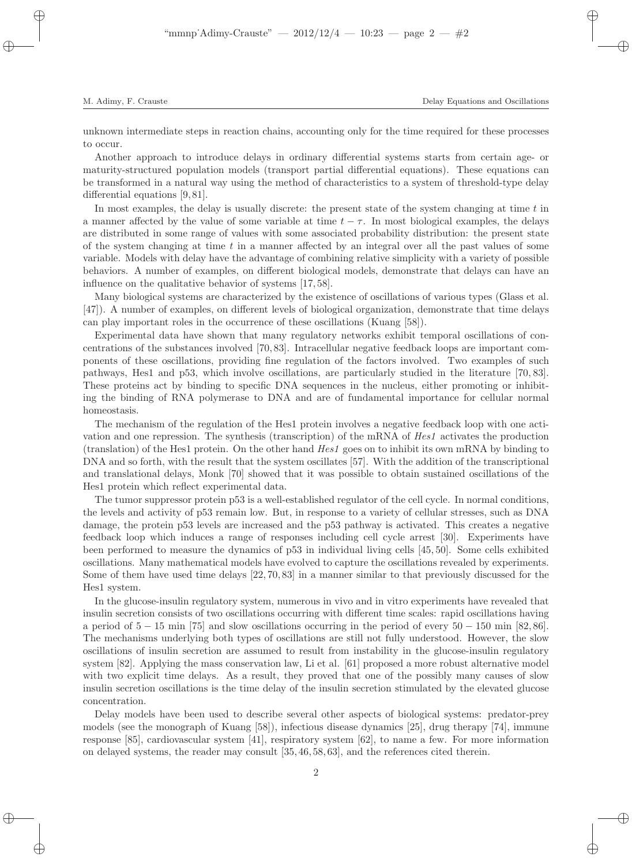unknown intermediate steps in reaction chains, accounting only for the time required for these processes to occur.

Another approach to introduce delays in ordinary differential systems starts from certain age- or maturity-structured population models (transport partial differential equations). These equations can be transformed in a natural way using the method of characteristics to a system of threshold-type delay differential equations [9, 81].

In most examples, the delay is usually discrete: the present state of the system changing at time  $t$  in a manner affected by the value of some variable at time  $t - \tau$ . In most biological examples, the delays are distributed in some range of values with some associated probability distribution: the present state of the system changing at time  $t$  in a manner affected by an integral over all the past values of some variable. Models with delay have the advantage of combining relative simplicity with a variety of possible behaviors. A number of examples, on different biological models, demonstrate that delays can have an influence on the qualitative behavior of systems [17, 58].

Many biological systems are characterized by the existence of oscillations of various types (Glass et al. [47]). A number of examples, on different levels of biological organization, demonstrate that time delays can play important roles in the occurrence of these oscillations (Kuang [58]).

Experimental data have shown that many regulatory networks exhibit temporal oscillations of concentrations of the substances involved [70, 83]. Intracellular negative feedback loops are important components of these oscillations, providing fine regulation of the factors involved. Two examples of such pathways, Hes1 and p53, which involve oscillations, are particularly studied in the literature [70, 83]. These proteins act by binding to specific DNA sequences in the nucleus, either promoting or inhibiting the binding of RNA polymerase to DNA and are of fundamental importance for cellular normal homeostasis.

The mechanism of the regulation of the Hes1 protein involves a negative feedback loop with one activation and one repression. The synthesis (transcription) of the mRNA of Hes1 activates the production (translation) of the Hes1 protein. On the other hand Hes1 goes on to inhibit its own mRNA by binding to DNA and so forth, with the result that the system oscillates [57]. With the addition of the transcriptional and translational delays, Monk [70] showed that it was possible to obtain sustained oscillations of the Hes1 protein which reflect experimental data.

The tumor suppressor protein p53 is a well-established regulator of the cell cycle. In normal conditions, the levels and activity of p53 remain low. But, in response to a variety of cellular stresses, such as DNA damage, the protein p53 levels are increased and the p53 pathway is activated. This creates a negative feedback loop which induces a range of responses including cell cycle arrest [30]. Experiments have been performed to measure the dynamics of p53 in individual living cells [45, 50]. Some cells exhibited oscillations. Many mathematical models have evolved to capture the oscillations revealed by experiments. Some of them have used time delays [22, 70, 83] in a manner similar to that previously discussed for the Hes1 system.

In the glucose-insulin regulatory system, numerous in vivo and in vitro experiments have revealed that insulin secretion consists of two oscillations occurring with different time scales: rapid oscillations having a period of 5 − 15 min [75] and slow oscillations occurring in the period of every 50 − 150 min [82, 86]. The mechanisms underlying both types of oscillations are still not fully understood. However, the slow oscillations of insulin secretion are assumed to result from instability in the glucose-insulin regulatory system [82]. Applying the mass conservation law, Li et al. [61] proposed a more robust alternative model with two explicit time delays. As a result, they proved that one of the possibly many causes of slow insulin secretion oscillations is the time delay of the insulin secretion stimulated by the elevated glucose concentration.

Delay models have been used to describe several other aspects of biological systems: predator-prey models (see the monograph of Kuang [58]), infectious disease dynamics [25], drug therapy [74], immune response [85], cardiovascular system [41], respiratory system [62], to name a few. For more information on delayed systems, the reader may consult [35, 46, 58, 63], and the references cited therein.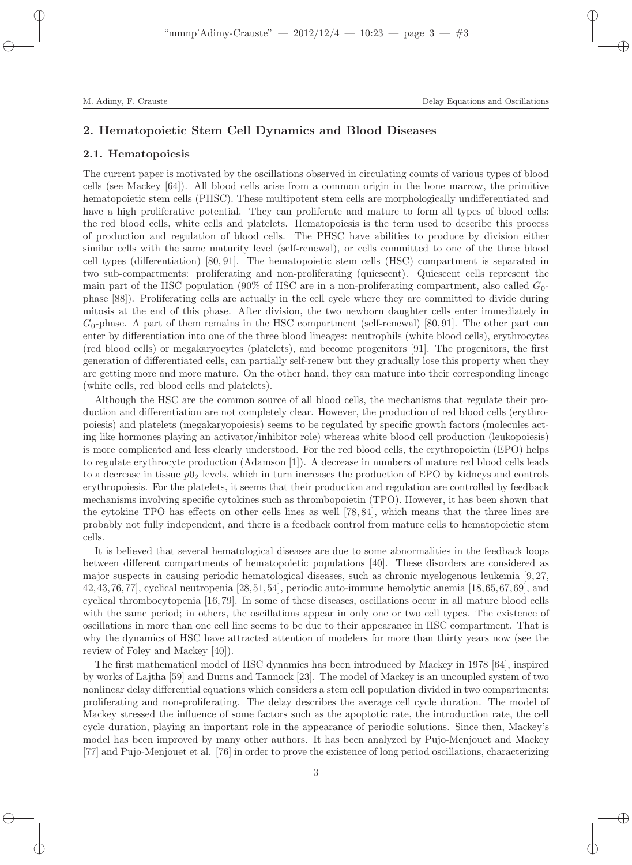## 2. Hematopoietic Stem Cell Dynamics and Blood Diseases

#### 2.1. Hematopoiesis

The current paper is motivated by the oscillations observed in circulating counts of various types of blood cells (see Mackey [64]). All blood cells arise from a common origin in the bone marrow, the primitive hematopoietic stem cells (PHSC). These multipotent stem cells are morphologically undifferentiated and have a high proliferative potential. They can proliferate and mature to form all types of blood cells: the red blood cells, white cells and platelets. Hematopoiesis is the term used to describe this process of production and regulation of blood cells. The PHSC have abilities to produce by division either similar cells with the same maturity level (self-renewal), or cells committed to one of the three blood cell types (differentiation) [80, 91]. The hematopoietic stem cells (HSC) compartment is separated in two sub-compartments: proliferating and non-proliferating (quiescent). Quiescent cells represent the main part of the HSC population (90% of HSC are in a non-proliferating compartment, also called  $G_0$ phase [88]). Proliferating cells are actually in the cell cycle where they are committed to divide during mitosis at the end of this phase. After division, the two newborn daughter cells enter immediately in  $G_0$ -phase. A part of them remains in the HSC compartment (self-renewal) [80, 91]. The other part can enter by differentiation into one of the three blood lineages: neutrophils (white blood cells), erythrocytes (red blood cells) or megakaryocytes (platelets), and become progenitors [91]. The progenitors, the first generation of differentiated cells, can partially self-renew but they gradually lose this property when they are getting more and more mature. On the other hand, they can mature into their corresponding lineage (white cells, red blood cells and platelets).

Although the HSC are the common source of all blood cells, the mechanisms that regulate their production and differentiation are not completely clear. However, the production of red blood cells (erythropoiesis) and platelets (megakaryopoiesis) seems to be regulated by specific growth factors (molecules acting like hormones playing an activator/inhibitor role) whereas white blood cell production (leukopoiesis) is more complicated and less clearly understood. For the red blood cells, the erythropoietin (EPO) helps to regulate erythrocyte production (Adamson [1]). A decrease in numbers of mature red blood cells leads to a decrease in tissue  $p0<sub>2</sub>$  levels, which in turn increases the production of EPO by kidneys and controls erythropoiesis. For the platelets, it seems that their production and regulation are controlled by feedback mechanisms involving specific cytokines such as thrombopoietin (TPO). However, it has been shown that the cytokine TPO has effects on other cells lines as well [78, 84], which means that the three lines are probably not fully independent, and there is a feedback control from mature cells to hematopoietic stem cells.

It is believed that several hematological diseases are due to some abnormalities in the feedback loops between different compartments of hematopoietic populations [40]. These disorders are considered as major suspects in causing periodic hematological diseases, such as chronic myelogenous leukemia [9, 27, 42,43,76,77], cyclical neutropenia [28,51,54], periodic auto-immune hemolytic anemia [18,65,67,69], and cyclical thrombocytopenia [16, 79]. In some of these diseases, oscillations occur in all mature blood cells with the same period; in others, the oscillations appear in only one or two cell types. The existence of oscillations in more than one cell line seems to be due to their appearance in HSC compartment. That is why the dynamics of HSC have attracted attention of modelers for more than thirty years now (see the review of Foley and Mackey [40]).

The first mathematical model of HSC dynamics has been introduced by Mackey in 1978 [64], inspired by works of Lajtha [59] and Burns and Tannock [23]. The model of Mackey is an uncoupled system of two nonlinear delay differential equations which considers a stem cell population divided in two compartments: proliferating and non-proliferating. The delay describes the average cell cycle duration. The model of Mackey stressed the influence of some factors such as the apoptotic rate, the introduction rate, the cell cycle duration, playing an important role in the appearance of periodic solutions. Since then, Mackey's model has been improved by many other authors. It has been analyzed by Pujo-Menjouet and Mackey [77] and Pujo-Menjouet et al. [76] in order to prove the existence of long period oscillations, characterizing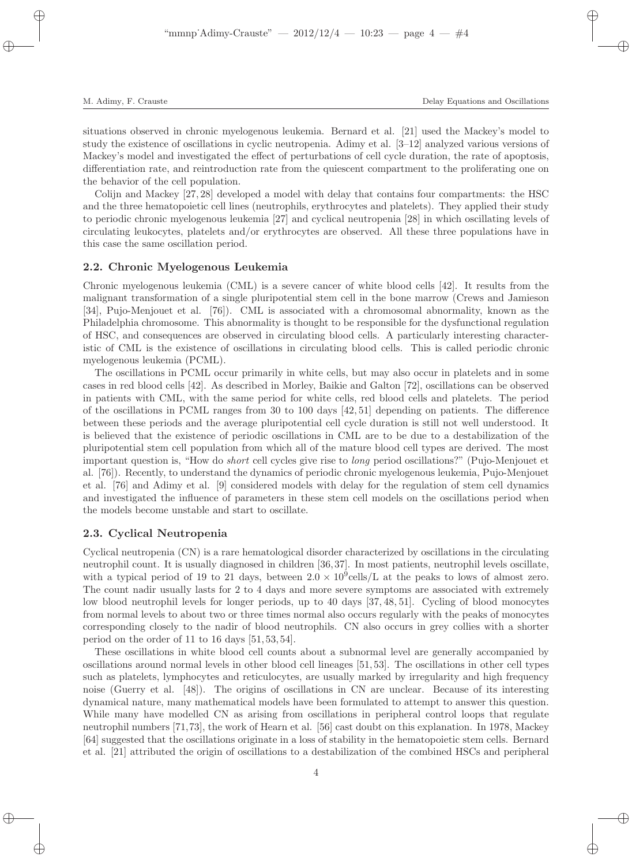situations observed in chronic myelogenous leukemia. Bernard et al. [21] used the Mackey's model to study the existence of oscillations in cyclic neutropenia. Adimy et al. [3–12] analyzed various versions of Mackey's model and investigated the effect of perturbations of cell cycle duration, the rate of apoptosis, differentiation rate, and reintroduction rate from the quiescent compartment to the proliferating one on the behavior of the cell population.

Colijn and Mackey [27, 28] developed a model with delay that contains four compartments: the HSC and the three hematopoietic cell lines (neutrophils, erythrocytes and platelets). They applied their study to periodic chronic myelogenous leukemia [27] and cyclical neutropenia [28] in which oscillating levels of circulating leukocytes, platelets and/or erythrocytes are observed. All these three populations have in this case the same oscillation period.

#### 2.2. Chronic Myelogenous Leukemia

Chronic myelogenous leukemia (CML) is a severe cancer of white blood cells [42]. It results from the malignant transformation of a single pluripotential stem cell in the bone marrow (Crews and Jamieson [34], Pujo-Menjouet et al. [76]). CML is associated with a chromosomal abnormality, known as the Philadelphia chromosome. This abnormality is thought to be responsible for the dysfunctional regulation of HSC, and consequences are observed in circulating blood cells. A particularly interesting characteristic of CML is the existence of oscillations in circulating blood cells. This is called periodic chronic myelogenous leukemia (PCML).

The oscillations in PCML occur primarily in white cells, but may also occur in platelets and in some cases in red blood cells [42]. As described in Morley, Baikie and Galton [72], oscillations can be observed in patients with CML, with the same period for white cells, red blood cells and platelets. The period of the oscillations in PCML ranges from 30 to 100 days [42, 51] depending on patients. The difference between these periods and the average pluripotential cell cycle duration is still not well understood. It is believed that the existence of periodic oscillations in CML are to be due to a destabilization of the pluripotential stem cell population from which all of the mature blood cell types are derived. The most important question is, "How do short cell cycles give rise to long period oscillations?" (Pujo-Menjouet et al. [76]). Recently, to understand the dynamics of periodic chronic myelogenous leukemia, Pujo-Menjouet et al. [76] and Adimy et al. [9] considered models with delay for the regulation of stem cell dynamics and investigated the influence of parameters in these stem cell models on the oscillations period when the models become unstable and start to oscillate.

#### 2.3. Cyclical Neutropenia

Cyclical neutropenia (CN) is a rare hematological disorder characterized by oscillations in the circulating neutrophil count. It is usually diagnosed in children [36, 37]. In most patients, neutrophil levels oscillate, with a typical period of 19 to 21 days, between  $2.0 \times 10^9$  cells/L at the peaks to lows of almost zero. The count nadir usually lasts for 2 to 4 days and more severe symptoms are associated with extremely low blood neutrophil levels for longer periods, up to 40 days [37, 48, 51]. Cycling of blood monocytes from normal levels to about two or three times normal also occurs regularly with the peaks of monocytes corresponding closely to the nadir of blood neutrophils. CN also occurs in grey collies with a shorter period on the order of 11 to 16 days [51, 53, 54].

These oscillations in white blood cell counts about a subnormal level are generally accompanied by oscillations around normal levels in other blood cell lineages [51, 53]. The oscillations in other cell types such as platelets, lymphocytes and reticulocytes, are usually marked by irregularity and high frequency noise (Guerry et al. [48]). The origins of oscillations in CN are unclear. Because of its interesting dynamical nature, many mathematical models have been formulated to attempt to answer this question. While many have modelled CN as arising from oscillations in peripheral control loops that regulate neutrophil numbers [71,73], the work of Hearn et al. [56] cast doubt on this explanation. In 1978, Mackey [64] suggested that the oscillations originate in a loss of stability in the hematopoietic stem cells. Bernard et al. [21] attributed the origin of oscillations to a destabilization of the combined HSCs and peripheral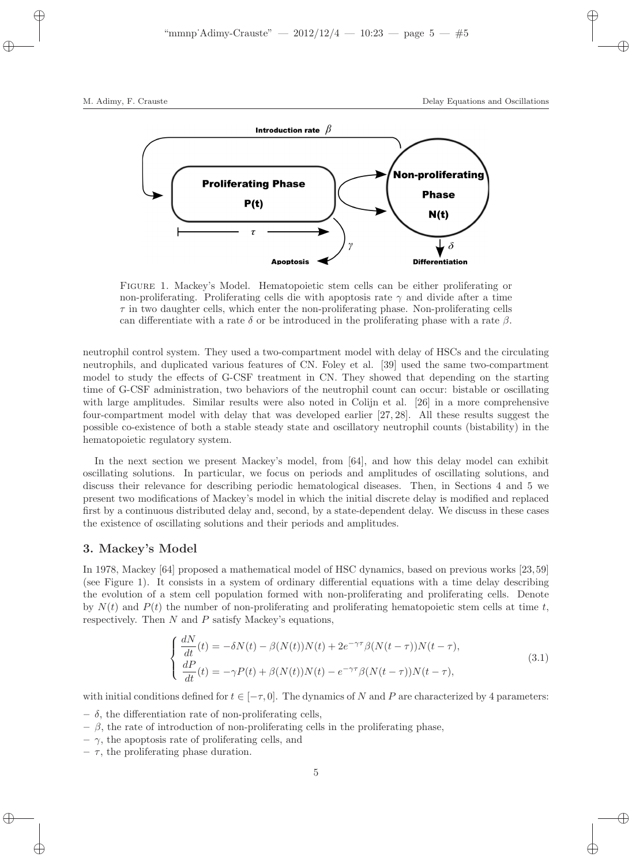

Figure 1. Mackey's Model. Hematopoietic stem cells can be either proliferating or non-proliferating. Proliferating cells die with apoptosis rate  $\gamma$  and divide after a time  $\tau$  in two daughter cells, which enter the non-proliferating phase. Non-proliferating cells can differentiate with a rate  $\delta$  or be introduced in the proliferating phase with a rate  $\beta$ .

neutrophil control system. They used a two-compartment model with delay of HSCs and the circulating neutrophils, and duplicated various features of CN. Foley et al. [39] used the same two-compartment model to study the effects of G-CSF treatment in CN. They showed that depending on the starting time of G-CSF administration, two behaviors of the neutrophil count can occur: bistable or oscillating with large amplitudes. Similar results were also noted in Colijn et al. [26] in a more comprehensive four-compartment model with delay that was developed earlier [27, 28]. All these results suggest the possible co-existence of both a stable steady state and oscillatory neutrophil counts (bistability) in the hematopoietic regulatory system.

In the next section we present Mackey's model, from [64], and how this delay model can exhibit oscillating solutions. In particular, we focus on periods and amplitudes of oscillating solutions, and discuss their relevance for describing periodic hematological diseases. Then, in Sections 4 and 5 we present two modifications of Mackey's model in which the initial discrete delay is modified and replaced first by a continuous distributed delay and, second, by a state-dependent delay. We discuss in these cases the existence of oscillating solutions and their periods and amplitudes.

## 3. Mackey's Model

In 1978, Mackey [64] proposed a mathematical model of HSC dynamics, based on previous works [23, 59] (see Figure 1). It consists in a system of ordinary differential equations with a time delay describing the evolution of a stem cell population formed with non-proliferating and proliferating cells. Denote by  $N(t)$  and  $P(t)$  the number of non-proliferating and proliferating hematopoietic stem cells at time t, respectively. Then  $N$  and  $P$  satisfy Mackey's equations,

$$
\begin{cases}\n\frac{dN}{dt}(t) = -\delta N(t) - \beta(N(t))N(t) + 2e^{-\gamma\tau}\beta(N(t-\tau))N(t-\tau),\\
\frac{dP}{dt}(t) = -\gamma P(t) + \beta(N(t))N(t) - e^{-\gamma\tau}\beta(N(t-\tau))N(t-\tau),\n\end{cases}
$$
\n(3.1)

with initial conditions defined for  $t \in [-\tau, 0]$ . The dynamics of N and P are characterized by 4 parameters:

- $-\delta$ , the differentiation rate of non-proliferating cells,
- $-$  β, the rate of introduction of non-proliferating cells in the proliferating phase,
- $-\gamma$ , the apoptosis rate of proliferating cells, and
- $\tau$ , the proliferating phase duration.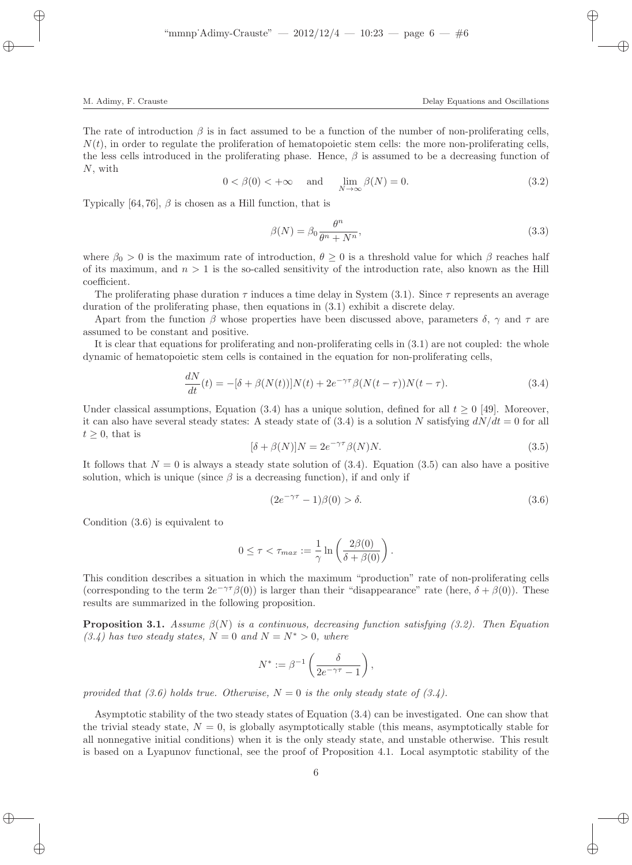The rate of introduction  $\beta$  is in fact assumed to be a function of the number of non-proliferating cells,  $N(t)$ , in order to regulate the proliferation of hematopoietic stem cells: the more non-proliferating cells, the less cells introduced in the proliferating phase. Hence,  $\beta$  is assumed to be a decreasing function of N, with

$$
0 < \beta(0) < +\infty \quad \text{and} \quad \lim_{N \to \infty} \beta(N) = 0. \tag{3.2}
$$

Typically [64, 76],  $\beta$  is chosen as a Hill function, that is

$$
\beta(N) = \beta_0 \frac{\theta^n}{\theta^n + N^n},\tag{3.3}
$$

where  $\beta_0 > 0$  is the maximum rate of introduction,  $\theta \geq 0$  is a threshold value for which  $\beta$  reaches half of its maximum, and  $n > 1$  is the so-called sensitivity of the introduction rate, also known as the Hill coefficient.

The proliferating phase duration  $\tau$  induces a time delay in System (3.1). Since  $\tau$  represents an average duration of the proliferating phase, then equations in (3.1) exhibit a discrete delay.

Apart from the function  $\beta$  whose properties have been discussed above, parameters  $\delta$ ,  $\gamma$  and  $\tau$  are assumed to be constant and positive.

It is clear that equations for proliferating and non-proliferating cells in (3.1) are not coupled: the whole dynamic of hematopoietic stem cells is contained in the equation for non-proliferating cells,

$$
\frac{dN}{dt}(t) = -[\delta + \beta(N(t))]N(t) + 2e^{-\gamma \tau} \beta(N(t-\tau))N(t-\tau). \tag{3.4}
$$

Under classical assumptions, Equation (3.4) has a unique solution, defined for all  $t \geq 0$  [49]. Moreover, it can also have several steady states: A steady state of  $(3.4)$  is a solution N satisfying  $dN/dt = 0$  for all  $t \geq 0$ , that is

$$
[\delta + \beta(N)]N = 2e^{-\gamma \tau} \beta(N)N.
$$
\n(3.5)

It follows that  $N = 0$  is always a steady state solution of (3.4). Equation (3.5) can also have a positive solution, which is unique (since  $\beta$  is a decreasing function), if and only if

$$
(2e^{-\gamma \tau} - 1)\beta(0) > \delta. \tag{3.6}
$$

Condition (3.6) is equivalent to

$$
0 \leq \tau < \tau_{max} := \frac{1}{\gamma} \ln \left( \frac{2\beta(0)}{\delta + \beta(0)} \right).
$$

This condition describes a situation in which the maximum "production" rate of non-proliferating cells (corresponding to the term  $2e^{-\gamma\tau}\beta(0)$ ) is larger than their "disappearance" rate (here,  $\delta + \beta(0)$ ). These results are summarized in the following proposition.

**Proposition 3.1.** Assume  $\beta(N)$  is a continuous, decreasing function satisfying (3.2). Then Equation  $(3.4)$  has two steady states,  $N = 0$  and  $N = N^* > 0$ , where

$$
N^* := \beta^{-1} \left( \frac{\delta}{2e^{-\gamma \tau} - 1} \right),
$$

provided that (3.6) holds true. Otherwise,  $N = 0$  is the only steady state of (3.4).

Asymptotic stability of the two steady states of Equation (3.4) can be investigated. One can show that the trivial steady state,  $N = 0$ , is globally asymptotically stable (this means, asymptotically stable for all nonnegative initial conditions) when it is the only steady state, and unstable otherwise. This result is based on a Lyapunov functional, see the proof of Proposition 4.1. Local asymptotic stability of the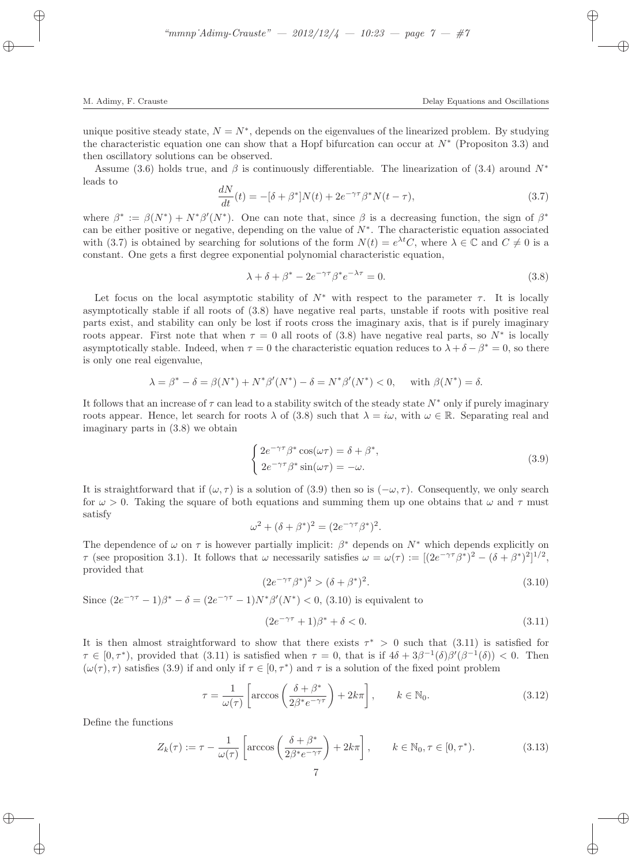unique positive steady state,  $N = N^*$ , depends on the eigenvalues of the linearized problem. By studying the characteristic equation one can show that a Hopf bifurcation can occur at  $N^*$  (Propositon 3.3) and then oscillatory solutions can be observed.

Assume (3.6) holds true, and  $\beta$  is continuously differentiable. The linearization of (3.4) around  $N^*$ leads to

$$
\frac{dN}{dt}(t) = -[\delta + \beta^*]N(t) + 2e^{-\gamma\tau}\beta^*N(t - \tau),\tag{3.7}
$$

where  $\beta^* := \beta(N^*) + N^* \beta'(N^*)$ . One can note that, since  $\beta$  is a decreasing function, the sign of  $\beta^*$ can be either positive or negative, depending on the value of  $N^*$ . The characteristic equation associated with (3.7) is obtained by searching for solutions of the form  $N(t) = e^{\lambda t}C$ , where  $\lambda \in \mathbb{C}$  and  $C \neq 0$  is a constant. One gets a first degree exponential polynomial characteristic equation,

$$
\lambda + \delta + \beta^* - 2e^{-\gamma \tau} \beta^* e^{-\lambda \tau} = 0.
$$
\n(3.8)

Let focus on the local asymptotic stability of  $N^*$  with respect to the parameter  $\tau$ . It is locally asymptotically stable if all roots of (3.8) have negative real parts, unstable if roots with positive real parts exist, and stability can only be lost if roots cross the imaginary axis, that is if purely imaginary roots appear. First note that when  $\tau = 0$  all roots of (3.8) have negative real parts, so  $N^*$  is locally asymptotically stable. Indeed, when  $\tau = 0$  the characteristic equation reduces to  $\lambda + \delta - \beta^* = 0$ , so there is only one real eigenvalue,

$$
\lambda = \beta^* - \delta = \beta(N^*) + N^* \beta'(N^*) - \delta = N^* \beta'(N^*) < 0, \quad \text{with } \beta(N^*) = \delta.
$$

It follows that an increase of  $\tau$  can lead to a stability switch of the steady state  $N^*$  only if purely imaginary roots appear. Hence, let search for roots  $\lambda$  of (3.8) such that  $\lambda = i\omega$ , with  $\omega \in \mathbb{R}$ . Separating real and imaginary parts in (3.8) we obtain

$$
\begin{cases} 2e^{-\gamma\tau}\beta^* \cos(\omega\tau) = \delta + \beta^*, \\ 2e^{-\gamma\tau}\beta^* \sin(\omega\tau) = -\omega. \end{cases}
$$
 (3.9)

It is straightforward that if  $(\omega, \tau)$  is a solution of (3.9) then so is  $(-\omega, \tau)$ . Consequently, we only search for  $\omega > 0$ . Taking the square of both equations and summing them up one obtains that  $\omega$  and  $\tau$  must satisfy

$$
\omega^2 + (\delta + \beta^*)^2 = (2e^{-\gamma \tau} \beta^*)^2.
$$

The dependence of  $\omega$  on  $\tau$  is however partially implicit:  $\beta^*$  depends on  $N^*$  which depends explicitly on  $\tau$  (see proposition 3.1). It follows that  $\omega$  necessarily satisfies  $\omega = \omega(\tau) := [(2e^{-\gamma \tau} \beta^*)^2 - (\delta + \beta^*)^2]^{1/2}$ , provided that

$$
(2e^{-\gamma \tau} \beta^*)^2 > (\delta + \beta^*)^2. \tag{3.10}
$$

Since  $(2e^{-\gamma \tau} - 1)\beta^* - \delta = (2e^{-\gamma \tau} - 1)N^* \beta'(N^*) < 0$ , (3.10) is equivalent to

$$
(2e^{-\gamma \tau} + 1)\beta^* + \delta < 0. \tag{3.11}
$$

It is then almost straightforward to show that there exists  $\tau^* > 0$  such that (3.11) is satisfied for  $\tau \in [0, \tau^*)$ , provided that (3.11) is satisfied when  $\tau = 0$ , that is if  $4\delta + 3\beta^{-1}(\delta)\beta'(\beta^{-1}(\delta)) < 0$ . Then  $(\omega(\tau), \tau)$  satisfies (3.9) if and only if  $\tau \in [0, \tau^*)$  and  $\tau$  is a solution of the fixed point problem

$$
\tau = \frac{1}{\omega(\tau)} \left[ \arccos\left(\frac{\delta + \beta^*}{2\beta^* e^{-\gamma\tau}}\right) + 2k\pi \right], \qquad k \in \mathbb{N}_0.
$$
\n(3.12)

Define the functions

$$
Z_k(\tau) := \tau - \frac{1}{\omega(\tau)} \left[ \arccos\left(\frac{\delta + \beta^*}{2\beta^* e^{-\gamma\tau}}\right) + 2k\pi \right], \qquad k \in \mathbb{N}_0, \tau \in [0, \tau^*).
$$
 (3.13)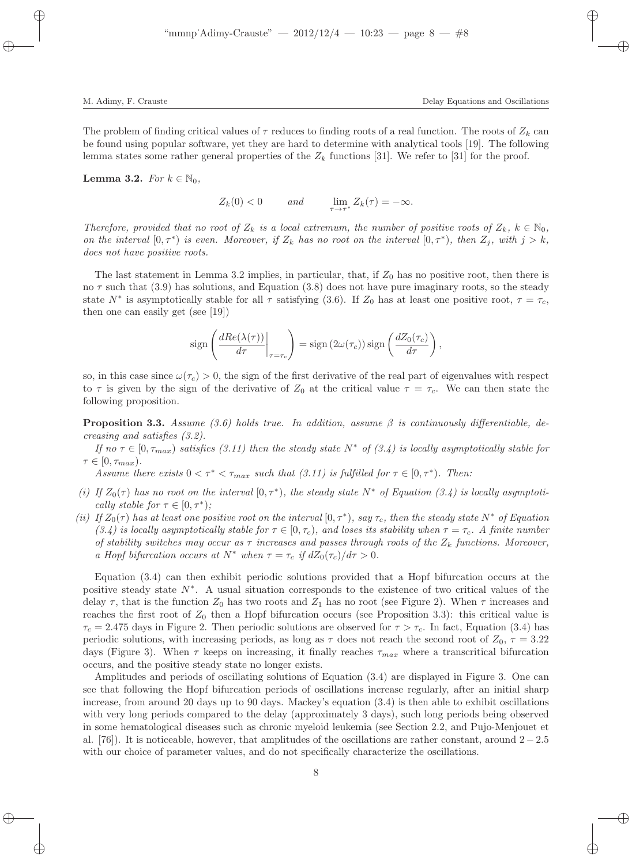The problem of finding critical values of  $\tau$  reduces to finding roots of a real function. The roots of  $Z_k$  can be found using popular software, yet they are hard to determine with analytical tools [19]. The following lemma states some rather general properties of the  $Z_k$  functions [31]. We refer to [31] for the proof.

Lemma 3.2. For  $k \in \mathbb{N}_0$ ,

 $Z_k(0) < 0$  and  $\lim_{\tau \to \tau^*} Z_k(\tau) = -\infty.$ 

Therefore, provided that no root of  $Z_k$  is a local extremum, the number of positive roots of  $Z_k$ ,  $k \in \mathbb{N}_0$ , on the interval  $[0, \tau^*)$  is even. Moreover, if  $Z_k$  has no root on the interval  $[0, \tau^*)$ , then  $Z_j$ , with  $j > k$ , does not have positive roots.

The last statement in Lemma 3.2 implies, in particular, that, if  $Z_0$  has no positive root, then there is no  $\tau$  such that (3.9) has solutions, and Equation (3.8) does not have pure imaginary roots, so the steady state  $N^*$  is asymptotically stable for all  $\tau$  satisfying (3.6). If  $Z_0$  has at least one positive root,  $\tau = \tau_c$ , then one can easily get (see [19])

$$
\operatorname{sign}\left(\frac{dRe(\lambda(\tau))}{d\tau}\bigg|_{\tau=\tau_c}\right) = \operatorname{sign}\left(2\omega(\tau_c)\right)\operatorname{sign}\left(\frac{dZ_0(\tau_c)}{d\tau}\right),\,
$$

so, in this case since  $\omega(\tau_c) > 0$ , the sign of the first derivative of the real part of eigenvalues with respect to  $\tau$  is given by the sign of the derivative of  $Z_0$  at the critical value  $\tau = \tau_c$ . We can then state the following proposition.

**Proposition 3.3.** Assume (3.6) holds true. In addition, assume  $\beta$  is continuously differentiable, decreasing and satisfies (3.2).

If no  $\tau \in [0, \tau_{max})$  satisfies (3.11) then the steady state  $N^*$  of (3.4) is locally asymptotically stable for  $\tau \in [0, \tau_{max}).$ 

Assume there exists  $0 < \tau^* < \tau_{max}$  such that (3.11) is fulfilled for  $\tau \in [0, \tau^*$ ). Then:

- (i) If  $Z_0(\tau)$  has no root on the interval  $[0, \tau^*)$ , the steady state  $N^*$  of Equation (3.4) is locally asymptotically stable for  $\tau \in [0, \tau^*);$
- (ii) If  $Z_0(\tau)$  has at least one positive root on the interval  $[0, \tau^*)$ , say  $\tau_c$ , then the steady state  $N^*$  of Equation (3.4) is locally asymptotically stable for  $\tau \in [0, \tau_c)$ , and loses its stability when  $\tau = \tau_c$ . A finite number of stability switches may occur as  $\tau$  increases and passes through roots of the  $Z_k$  functions. Moreover, a Hopf bifurcation occurs at  $N^*$  when  $\tau = \tau_c$  if  $dZ_0(\tau_c)/d\tau > 0$ .

Equation (3.4) can then exhibit periodic solutions provided that a Hopf bifurcation occurs at the positive steady state N<sup>∗</sup> . A usual situation corresponds to the existence of two critical values of the delay  $\tau$ , that is the function  $Z_0$  has two roots and  $Z_1$  has no root (see Figure 2). When  $\tau$  increases and reaches the first root of  $Z_0$  then a Hopf bifurcation occurs (see Proposition 3.3): this critical value is  $\tau_c = 2.475$  days in Figure 2. Then periodic solutions are observed for  $\tau > \tau_c$ . In fact, Equation (3.4) has periodic solutions, with increasing periods, as long as  $\tau$  does not reach the second root of  $Z_0$ ,  $\tau = 3.22$ days (Figure 3). When  $\tau$  keeps on increasing, it finally reaches  $\tau_{max}$  where a transcritical bifurcation occurs, and the positive steady state no longer exists.

Amplitudes and periods of oscillating solutions of Equation (3.4) are displayed in Figure 3. One can see that following the Hopf bifurcation periods of oscillations increase regularly, after an initial sharp increase, from around 20 days up to 90 days. Mackey's equation (3.4) is then able to exhibit oscillations with very long periods compared to the delay (approximately 3 days), such long periods being observed in some hematological diseases such as chronic myeloid leukemia (see Section 2.2, and Pujo-Menjouet et al. [76]). It is noticeable, however, that amplitudes of the oscillations are rather constant, around 2 − 2.5 with our choice of parameter values, and do not specifically characterize the oscillations.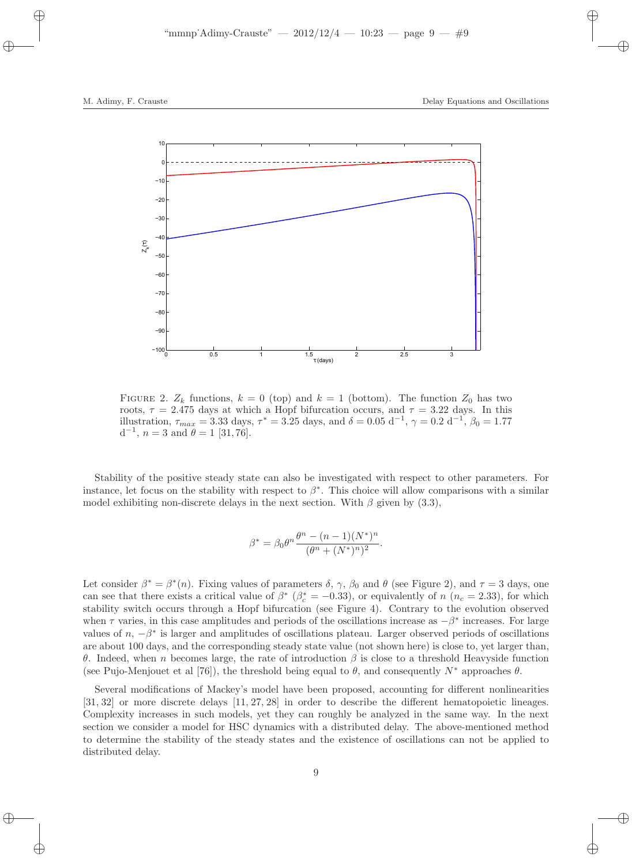

FIGURE 2.  $Z_k$  functions,  $k = 0$  (top) and  $k = 1$  (bottom). The function  $Z_0$  has two roots,  $\tau = 2.475$  days at which a Hopf bifurcation occurs, and  $\tau = 3.22$  days. In this illustration,  $\tau_{max} = 3.33$  days,  $\tau^* = 3.25$  days, and  $\delta = 0.05$  d<sup>-1</sup>,  $\gamma = 0.2$  d<sup>-1</sup>,  $\beta_0 = 1.77$  $d^{-1}$ ,  $n = 3$  and  $\theta = 1$  [31,76].

Stability of the positive steady state can also be investigated with respect to other parameters. For instance, let focus on the stability with respect to  $\beta^*$ . This choice will allow comparisons with a similar model exhibiting non-discrete delays in the next section. With  $\beta$  given by (3.3),

$$
\beta^* = \beta_0 \theta^n \frac{\theta^n - (n-1)(N^*)^n}{(\theta^n + (N^*)^n)^2}.
$$

Let consider  $\beta^* = \beta^*(n)$ . Fixing values of parameters  $\delta$ ,  $\gamma$ ,  $\beta_0$  and  $\theta$  (see Figure 2), and  $\tau = 3$  days, one can see that there exists a critical value of  $\beta^*$  ( $\beta_c^* = -0.33$ ), or equivalently of n (n<sub>c</sub> = 2.33), for which stability switch occurs through a Hopf bifurcation (see Figure 4). Contrary to the evolution observed when  $\tau$  varies, in this case amplitudes and periods of the oscillations increase as  $-\beta^*$  increases. For large values of  $n, -\beta^*$  is larger and amplitudes of oscillations plateau. Larger observed periods of oscillations are about 100 days, and the corresponding steady state value (not shown here) is close to, yet larger than, θ. Indeed, when n becomes large, the rate of introduction β is close to a threshold Heavyside function (see Pujo-Menjouet et al [76]), the threshold being equal to  $\theta$ , and consequently N<sup>∗</sup> approaches  $\theta$ .

Several modifications of Mackey's model have been proposed, accounting for different nonlinearities [31, 32] or more discrete delays [11, 27, 28] in order to describe the different hematopoietic lineages. Complexity increases in such models, yet they can roughly be analyzed in the same way. In the next section we consider a model for HSC dynamics with a distributed delay. The above-mentioned method to determine the stability of the steady states and the existence of oscillations can not be applied to distributed delay.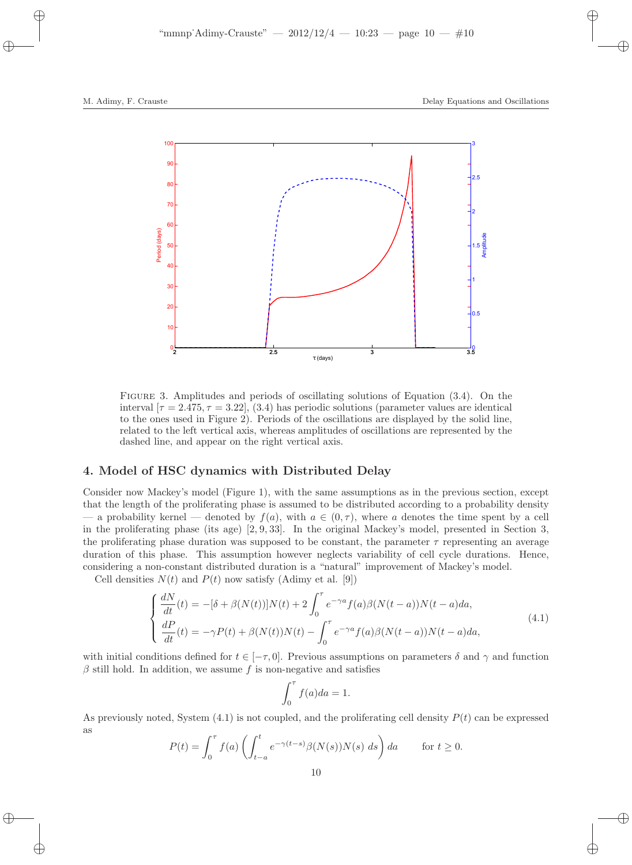

Figure 3. Amplitudes and periods of oscillating solutions of Equation (3.4). On the interval  $[\tau = 2.475, \tau = 3.22]$ , (3.4) has periodic solutions (parameter values are identical to the ones used in Figure 2). Periods of the oscillations are displayed by the solid line, related to the left vertical axis, whereas amplitudes of oscillations are represented by the dashed line, and appear on the right vertical axis.

### 4. Model of HSC dynamics with Distributed Delay

Consider now Mackey's model (Figure 1), with the same assumptions as in the previous section, except that the length of the proliferating phase is assumed to be distributed according to a probability density — a probability kernel — denoted by  $f(a)$ , with  $a \in (0, \tau)$ , where a denotes the time spent by a cell in the proliferating phase (its age) [2, 9, 33]. In the original Mackey's model, presented in Section 3, the proliferating phase duration was supposed to be constant, the parameter  $\tau$  representing an average duration of this phase. This assumption however neglects variability of cell cycle durations. Hence, considering a non-constant distributed duration is a "natural" improvement of Mackey's model.

Cell densities  $N(t)$  and  $P(t)$  now satisfy (Adimy et al. [9])

$$
\begin{cases}\n\frac{dN}{dt}(t) = -[\delta + \beta(N(t))]N(t) + 2\int_0^\tau e^{-\gamma a}f(a)\beta(N(t-a))N(t-a)da, \\
\frac{dP}{dt}(t) = -\gamma P(t) + \beta(N(t))N(t) - \int_0^\tau e^{-\gamma a}f(a)\beta(N(t-a))N(t-a)da,\n\end{cases}
$$
\n(4.1)

with initial conditions defined for  $t \in [-\tau, 0]$ . Previous assumptions on parameters  $\delta$  and  $\gamma$  and function  $\beta$  still hold. In addition, we assume f is non-negative and satisfies

$$
\int_0^\tau f(a)da = 1.
$$

As previously noted, System  $(4.1)$  is not coupled, and the proliferating cell density  $P(t)$  can be expressed as

$$
P(t) = \int_0^{\tau} f(a) \left( \int_{t-a}^t e^{-\gamma(t-s)} \beta(N(s)) N(s) \ ds \right) da \qquad \text{for } t \ge 0.
$$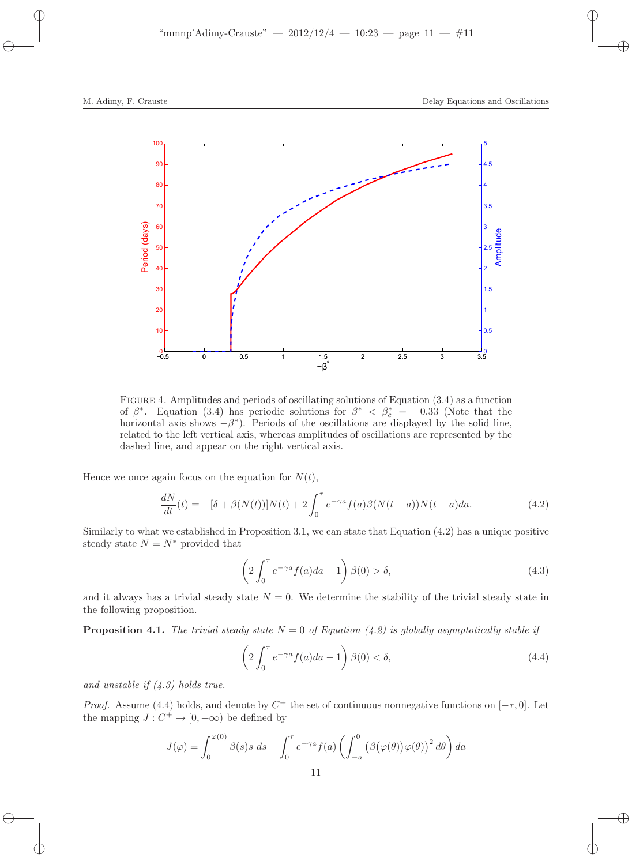

Figure 4. Amplitudes and periods of oscillating solutions of Equation (3.4) as a function of  $\beta^*$ . Equation (3.4) has periodic solutions for  $\beta^* < \beta_c^* = -0.33$  (Note that the horizontal axis shows  $-\beta^*$ ). Periods of the oscillations are displayed by the solid line, related to the left vertical axis, whereas amplitudes of oscillations are represented by the dashed line, and appear on the right vertical axis.

Hence we once again focus on the equation for  $N(t)$ ,

$$
\frac{dN}{dt}(t) = -[\delta + \beta(N(t))]N(t) + 2\int_0^{\tau} e^{-\gamma a} f(a)\beta(N(t-a))N(t-a)da.
$$
\n(4.2)

Similarly to what we established in Proposition 3.1, we can state that Equation (4.2) has a unique positive steady state  $N = N^*$  provided that

$$
\left(2\int_0^\tau e^{-\gamma a}f(a)da - 1\right)\beta(0) > \delta,\tag{4.3}
$$

and it always has a trivial steady state  $N = 0$ . We determine the stability of the trivial steady state in the following proposition.

**Proposition 4.1.** The trivial steady state  $N = 0$  of Equation (4.2) is globally asymptotically stable if

$$
\left(2\int_0^\tau e^{-\gamma a}f(a)da - 1\right)\beta(0) < \delta,\tag{4.4}
$$

and unstable if  $(4.3)$  holds true.

*Proof.* Assume (4.4) holds, and denote by  $C^+$  the set of continuous nonnegative functions on  $[-\tau, 0]$ . Let the mapping  $J: C^+ \to [0, +\infty)$  be defined by

$$
J(\varphi) = \int_0^{\varphi(0)} \beta(s)s \, ds + \int_0^{\tau} e^{-\gamma a} f(a) \left( \int_{-a}^0 \left( \beta(\varphi(\theta)) \varphi(\theta) \right)^2 d\theta \right) da
$$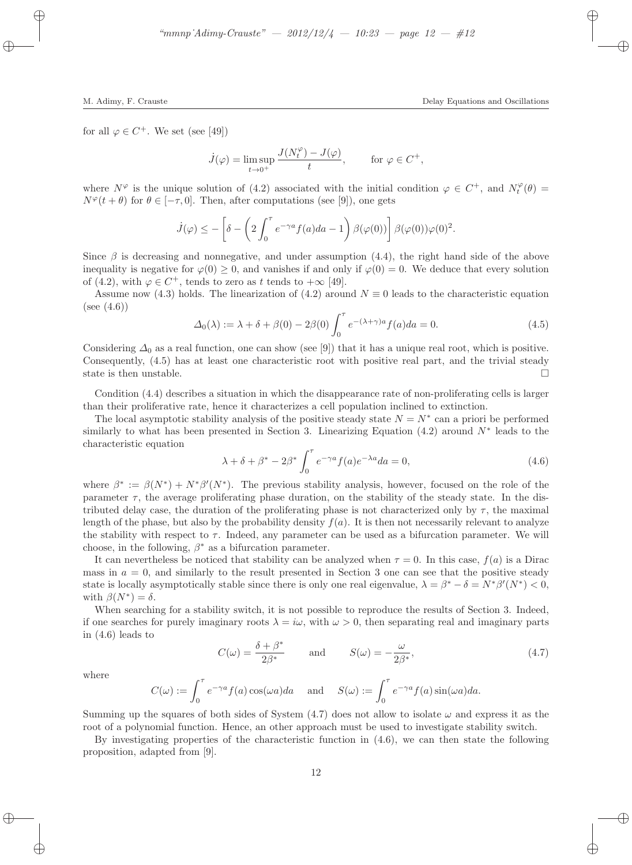for all  $\varphi \in C^+$ . We set (see [49])

$$
\dot{J}(\varphi) = \limsup_{t \to 0^+} \frac{J(N_t^{\varphi}) - J(\varphi)}{t}, \quad \text{for } \varphi \in C^+,
$$

where  $N^{\varphi}$  is the unique solution of (4.2) associated with the initial condition  $\varphi \in C^+$ , and  $N_t^{\varphi}(\theta)$  $N^{\varphi}(t + \theta)$  for  $\theta \in [-\tau, 0]$ . Then, after computations (see [9]), one gets

$$
\dot{J}(\varphi) \leq -\left[\delta - \left(2\int_0^\tau e^{-\gamma a} f(a)da - 1\right) \beta(\varphi(0))\right] \beta(\varphi(0))\varphi(0)^2.
$$

Since  $\beta$  is decreasing and nonnegative, and under assumption (4.4), the right hand side of the above inequality is negative for  $\varphi(0) \geq 0$ , and vanishes if and only if  $\varphi(0) = 0$ . We deduce that every solution of (4.2), with  $\varphi \in C^+$ , tends to zero as t tends to  $+\infty$  [49].

Assume now (4.3) holds. The linearization of (4.2) around  $N \equiv 0$  leads to the characteristic equation  $(see (4.6))$ 

$$
\Delta_0(\lambda) := \lambda + \delta + \beta(0) - 2\beta(0) \int_0^\tau e^{-(\lambda + \gamma)a} f(a) da = 0.
$$
\n(4.5)

Considering  $\Delta_0$  as a real function, one can show (see [9]) that it has a unique real root, which is positive. Consequently, (4.5) has at least one characteristic root with positive real part, and the trivial steady state is then unstable.  $\square$ 

Condition (4.4) describes a situation in which the disappearance rate of non-proliferating cells is larger than their proliferative rate, hence it characterizes a cell population inclined to extinction.

The local asymptotic stability analysis of the positive steady state  $N = N^*$  can a priori be performed similarly to what has been presented in Section 3. Linearizing Equation  $(4.2)$  around  $N^*$  leads to the characteristic equation

$$
\lambda + \delta + \beta^* - 2\beta^* \int_0^\tau e^{-\gamma a} f(a) e^{-\lambda a} da = 0,
$$
\n(4.6)

where  $\beta^* := \beta(N^*) + N^* \beta'(N^*)$ . The previous stability analysis, however, focused on the role of the parameter  $\tau$ , the average proliferating phase duration, on the stability of the steady state. In the distributed delay case, the duration of the proliferating phase is not characterized only by  $\tau$ , the maximal length of the phase, but also by the probability density  $f(a)$ . It is then not necessarily relevant to analyze the stability with respect to  $\tau$ . Indeed, any parameter can be used as a bifurcation parameter. We will choose, in the following,  $\beta^*$  as a bifurcation parameter.

It can nevertheless be noticed that stability can be analyzed when  $\tau = 0$ . In this case,  $f(a)$  is a Dirac mass in  $a = 0$ , and similarly to the result presented in Section 3 one can see that the positive steady state is locally asymptotically stable since there is only one real eigenvalue,  $\lambda = \beta^* - \delta = N^* \beta'(N^*) < 0$ , with  $\beta(N^*)=\delta$ .

When searching for a stability switch, it is not possible to reproduce the results of Section 3. Indeed, if one searches for purely imaginary roots  $\lambda = i\omega$ , with  $\omega > 0$ , then separating real and imaginary parts in (4.6) leads to

$$
C(\omega) = \frac{\delta + \beta^*}{2\beta^*} \quad \text{and} \quad S(\omega) = -\frac{\omega}{2\beta^*}, \tag{4.7}
$$

where

$$
C(\omega) := \int_0^{\tau} e^{-\gamma a} f(a) \cos(\omega a) da \quad \text{and} \quad S(\omega) := \int_0^{\tau} e^{-\gamma a} f(a) \sin(\omega a) da.
$$

Summing up the squares of both sides of System  $(4.7)$  does not allow to isolate  $\omega$  and express it as the root of a polynomial function. Hence, an other approach must be used to investigate stability switch.

By investigating properties of the characteristic function in (4.6), we can then state the following proposition, adapted from [9].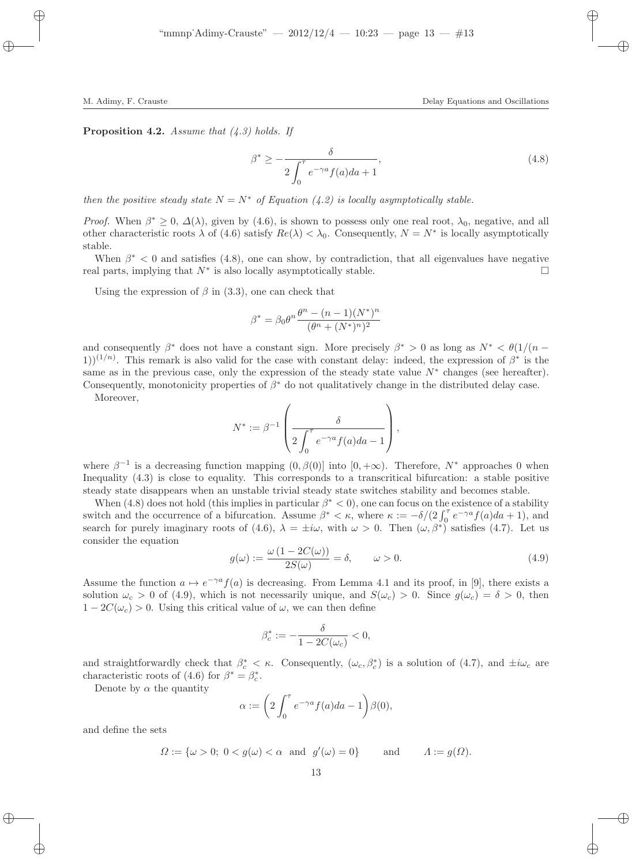**Proposition 4.2.** Assume that  $(4.3)$  holds. If

$$
\beta^* \ge -\frac{\delta}{2\int_0^\tau e^{-\gamma a} f(a)da + 1},\tag{4.8}
$$

then the positive steady state  $N = N^*$  of Equation (4.2) is locally asymptotically stable.

*Proof.* When  $\beta^* \geq 0$ ,  $\Delta(\lambda)$ , given by (4.6), is shown to possess only one real root,  $\lambda_0$ , negative, and all other characteristic roots  $\lambda$  of (4.6) satisfy  $Re(\lambda) < \lambda_0$ . Consequently,  $N = N^*$  is locally asymptotically stable.

When  $\beta^*$  < 0 and satisfies (4.8), one can show, by contradiction, that all eigenvalues have negative real parts, implying that  $N^*$  is also locally asymptotically stable.

Using the expression of  $\beta$  in (3.3), one can check that

$$
\beta^* = \beta_0 \theta^n \frac{\theta^n - (n-1)(N^*)^n}{(\theta^n + (N^*)^n)^2}
$$

and consequently  $\beta^*$  does not have a constant sign. More precisely  $\beta^* > 0$  as long as  $N^* < \theta(1/(n - \beta^*)$ 1))<sup>(1/n)</sup>. This remark is also valid for the case with constant delay: indeed, the expression of  $\beta^*$  is the same as in the previous case, only the expression of the steady state value  $N^*$  changes (see hereafter). Consequently, monotonicity properties of  $\beta^*$  do not qualitatively change in the distributed delay case.

Moreover,

$$
N^* := \beta^{-1} \left( \frac{\delta}{2 \int_0^{\tau} e^{-\gamma a} f(a) da - 1} \right),
$$

where  $\beta^{-1}$  is a decreasing function mapping  $(0, \beta(0))$  into  $[0, +\infty)$ . Therefore,  $N^*$  approaches 0 when Inequality (4.3) is close to equality. This corresponds to a transcritical bifurcation: a stable positive steady state disappears when an unstable trivial steady state switches stability and becomes stable.

When  $(4.8)$  does not hold (this implies in particular  $\beta^* < 0$ ), one can focus on the existence of a stability switch and the occurrence of a bifurcation. Assume  $\beta^* < \kappa$ , where  $\kappa := -\delta/(2 \int_0^{\tau} e^{-\gamma a} f(a) da + 1)$ , and search for purely imaginary roots of (4.6),  $\lambda = \pm i\omega$ , with  $\omega > 0$ . Then  $(\omega, \beta^*)$  satisfies (4.7). Let us consider the equation

$$
g(\omega) := \frac{\omega (1 - 2C(\omega))}{2S(\omega)} = \delta, \qquad \omega > 0.
$$
\n(4.9)

Assume the function  $a \mapsto e^{-\gamma a} f(a)$  is decreasing. From Lemma 4.1 and its proof, in [9], there exists a solution  $\omega_c > 0$  of (4.9), which is not necessarily unique, and  $S(\omega_c) > 0$ . Since  $g(\omega_c) = \delta > 0$ , then  $1 - 2C(\omega_c) > 0$ . Using this critical value of  $\omega$ , we can then define

$$
\beta_c^* := -\frac{\delta}{1 - 2C(\omega_c)} < 0,
$$

and straightforwardly check that  $\beta_c^* < \kappa$ . Consequently,  $(\omega_c, \beta_c^*)$  is a solution of (4.7), and  $\pm i\omega_c$  are characteristic roots of (4.6) for  $\beta^* = \beta_c^*$ .

Denote by  $\alpha$  the quantity

$$
\alpha := \left(2 \int_0^{\tau} e^{-\gamma a} f(a) da - 1\right) \beta(0),
$$

and define the sets

$$
\Omega := \{ \omega > 0; \ 0 < g(\omega) < \alpha \ \text{ and } \ g'(\omega) = 0 \} \quad \text{and} \quad \Lambda := g(\Omega).
$$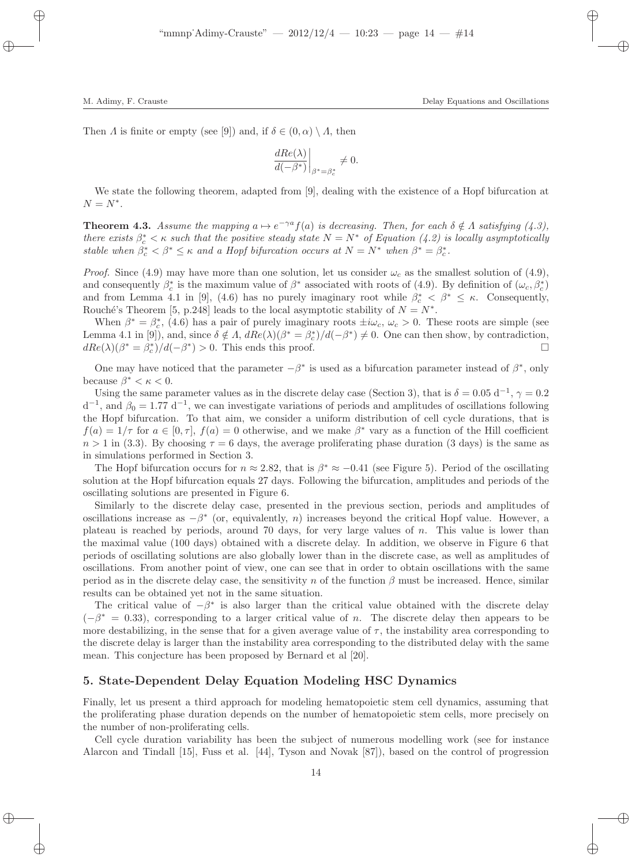Then A is finite or empty (see [9]) and, if  $\delta \in (0, \alpha) \setminus A$ , then

$$
\left. \frac{dRe(\lambda)}{d(-\beta^*)} \right|_{\beta^* = \beta_c^*} \neq 0.
$$

We state the following theorem, adapted from [9], dealing with the existence of a Hopf bifurcation at  $N = N^*$ .

**Theorem 4.3.** Assume the mapping  $a \mapsto e^{-\gamma a} f(a)$  is decreasing. Then, for each  $\delta \notin \Lambda$  satisfying (4.3), there exists  $\beta_c^* < \kappa$  such that the positive steady state  $N = N^*$  of Equation (4.2) is locally asymptotically stable when  $\beta_c^* < \beta^* \leq \kappa$  and a Hopf bifurcation occurs at  $N = N^*$  when  $\beta^* = \beta_c^*$ .

*Proof.* Since (4.9) may have more than one solution, let us consider  $\omega_c$  as the smallest solution of (4.9), and consequently  $\beta_c^*$  is the maximum value of  $\beta^*$  associated with roots of (4.9). By definition of  $(\omega_c, \beta_c^*)$ and from Lemma 4.1 in [9], (4.6) has no purely imaginary root while  $\beta_c^* < \beta^* \leq \kappa$ . Consequently, Rouché's Theorem [5, p.248] leads to the local asymptotic stability of  $N = N^*$ .

When  $\beta^* = \beta_c^*$ , (4.6) has a pair of purely imaginary roots  $\pm i\omega_c$ ,  $\omega_c > 0$ . These roots are simple (see Lemma 4.1 in [9]), and, since  $\delta \notin \Lambda$ ,  $dRe(\lambda)(\beta^* = \beta_c^*)/d(-\beta^*) \neq 0$ . One can then show, by contradiction,  $dRe(\lambda)(\beta^* = \beta_c^*)/d(-\beta^*) > 0$ . This ends this proof.

One may have noticed that the parameter  $-\beta^*$  is used as a bifurcation parameter instead of  $\beta^*$ , only because  $\beta^* < \kappa < 0$ .

Using the same parameter values as in the discrete delay case (Section 3), that is  $\delta = 0.05$  d<sup>-1</sup>,  $\gamma = 0.2$  $d^{-1}$ , and  $\beta_0 = 1.77 d^{-1}$ , we can investigate variations of periods and amplitudes of oscillations following the Hopf bifurcation. To that aim, we consider a uniform distribution of cell cycle durations, that is  $f(a) = 1/\tau$  for  $a \in [0, \tau]$ ,  $f(a) = 0$  otherwise, and we make  $\beta^*$  vary as a function of the Hill coefficient  $n > 1$  in (3.3). By choosing  $\tau = 6$  days, the average proliferating phase duration (3 days) is the same as in simulations performed in Section 3.

The Hopf bifurcation occurs for  $n \approx 2.82$ , that is  $\beta^* \approx -0.41$  (see Figure 5). Period of the oscillating solution at the Hopf bifurcation equals 27 days. Following the bifurcation, amplitudes and periods of the oscillating solutions are presented in Figure 6.

Similarly to the discrete delay case, presented in the previous section, periods and amplitudes of oscillations increase as  $-\beta^*$  (or, equivalently, n) increases beyond the critical Hopf value. However, a plateau is reached by periods, around 70 days, for very large values of n. This value is lower than the maximal value (100 days) obtained with a discrete delay. In addition, we observe in Figure 6 that periods of oscillating solutions are also globally lower than in the discrete case, as well as amplitudes of oscillations. From another point of view, one can see that in order to obtain oscillations with the same period as in the discrete delay case, the sensitivity n of the function  $\beta$  must be increased. Hence, similar results can be obtained yet not in the same situation.

The critical value of  $-\beta^*$  is also larger than the critical value obtained with the discrete delay  $(-\beta^* = 0.33)$ , corresponding to a larger critical value of n. The discrete delay then appears to be more destabilizing, in the sense that for a given average value of  $\tau$ , the instability area corresponding to the discrete delay is larger than the instability area corresponding to the distributed delay with the same mean. This conjecture has been proposed by Bernard et al [20].

#### 5. State-Dependent Delay Equation Modeling HSC Dynamics

Finally, let us present a third approach for modeling hematopoietic stem cell dynamics, assuming that the proliferating phase duration depends on the number of hematopoietic stem cells, more precisely on the number of non-proliferating cells.

Cell cycle duration variability has been the subject of numerous modelling work (see for instance Alarcon and Tindall [15], Fuss et al. [44], Tyson and Novak [87]), based on the control of progression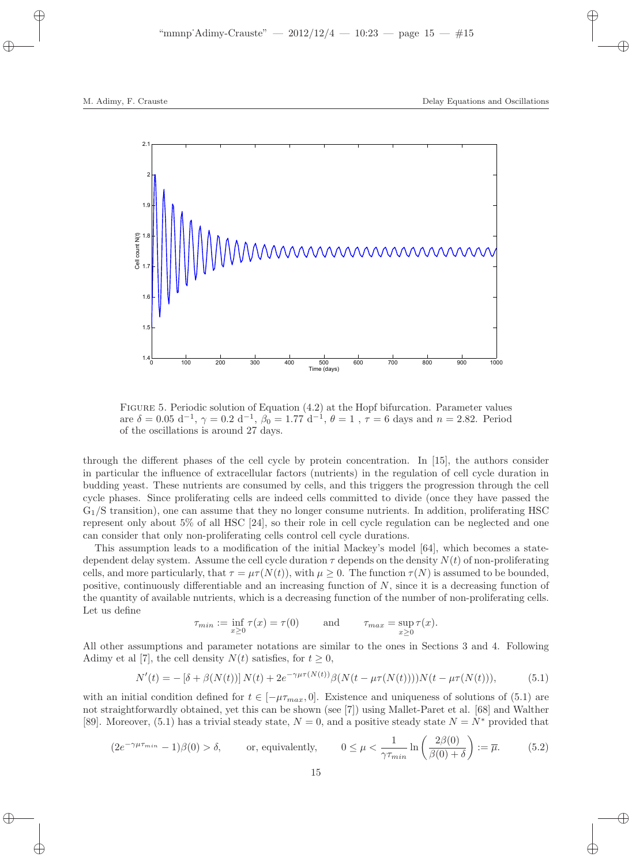

Figure 5. Periodic solution of Equation (4.2) at the Hopf bifurcation. Parameter values are  $\delta = 0.05 \, \mathrm{d}^{-1}$ ,  $\gamma = 0.2 \, \mathrm{d}^{-1}$ ,  $\beta_0 = 1.77 \, \mathrm{d}^{-1}$ ,  $\theta = 1$ ,  $\tau = 6$  days and  $n = 2.82$ . Period of the oscillations is around 27 days.

through the different phases of the cell cycle by protein concentration. In [15], the authors consider in particular the influence of extracellular factors (nutrients) in the regulation of cell cycle duration in budding yeast. These nutrients are consumed by cells, and this triggers the progression through the cell cycle phases. Since proliferating cells are indeed cells committed to divide (once they have passed the G1/S transition), one can assume that they no longer consume nutrients. In addition, proliferating HSC represent only about 5% of all HSC [24], so their role in cell cycle regulation can be neglected and one can consider that only non-proliferating cells control cell cycle durations.

This assumption leads to a modification of the initial Mackey's model [64], which becomes a statedependent delay system. Assume the cell cycle duration  $\tau$  depends on the density  $N(t)$  of non-proliferating cells, and more particularly, that  $\tau = \mu \tau(N(t))$ , with  $\mu \geq 0$ . The function  $\tau(N)$  is assumed to be bounded, positive, continuously differentiable and an increasing function of  $N$ , since it is a decreasing function of the quantity of available nutrients, which is a decreasing function of the number of non-proliferating cells. Let us define

$$
\tau_{min} := \inf_{x \ge 0} \tau(x) = \tau(0) \quad \text{and} \quad \tau_{max} = \sup_{x \ge 0} \tau(x).
$$

All other assumptions and parameter notations are similar to the ones in Sections 3 and 4. Following Adimy et al [7], the cell density  $N(t)$  satisfies, for  $t \geq 0$ ,

$$
N'(t) = -\left[\delta + \beta(N(t))\right]N(t) + 2e^{-\gamma\mu\tau(N(t))}\beta(N(t - \mu\tau(N(t))))N(t - \mu\tau(N(t))),\tag{5.1}
$$

with an initial condition defined for  $t \in [-\mu \tau_{max}, 0]$ . Existence and uniqueness of solutions of (5.1) are not straightforwardly obtained, yet this can be shown (see [7]) using Mallet-Paret et al. [68] and Walther [89]. Moreover, (5.1) has a trivial steady state,  $N = 0$ , and a positive steady state  $N = N^*$  provided that

$$
(2e^{-\gamma\mu\tau_{min}}-1)\beta(0) > \delta, \qquad \text{or, equivalently,} \qquad 0 \le \mu < \frac{1}{\gamma\tau_{min}}\ln\left(\frac{2\beta(0)}{\beta(0)+\delta}\right) := \overline{\mu}. \tag{5.2}
$$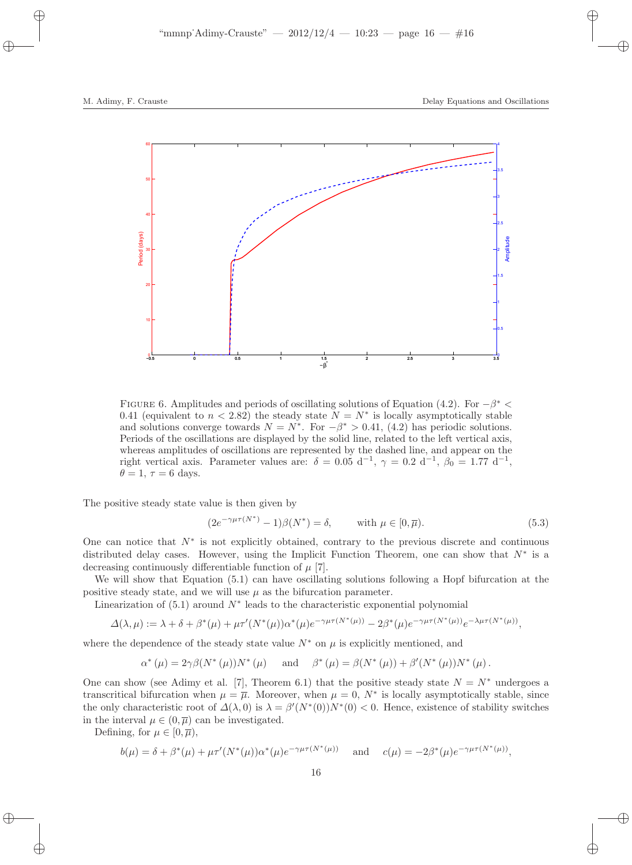

FIGURE 6. Amplitudes and periods of oscillating solutions of Equation (4.2). For  $-\beta^*$  < 0.41 (equivalent to  $n < 2.82$ ) the steady state  $N = N^*$  is locally asymptotically stable and solutions converge towards  $N = N^*$ . For  $-\beta^* > 0.41$ , (4.2) has periodic solutions. Periods of the oscillations are displayed by the solid line, related to the left vertical axis, whereas amplitudes of oscillations are represented by the dashed line, and appear on the right vertical axis. Parameter values are:  $\delta = 0.05 \, \mathrm{d}^{-1}$ ,  $\gamma = 0.2 \, \mathrm{d}^{-1}$ ,  $\beta_0 = 1.77 \, \mathrm{d}^{-1}$ ,  $\theta = 1, \tau = 6$  days.

The positive steady state value is then given by

$$
(2e^{-\gamma\mu\tau(N^*)}-1)\beta(N^*)=\delta, \qquad \text{with } \mu \in [0,\overline{\mu}).
$$
\n(5.3)

One can notice that  $N^*$  is not explicitly obtained, contrary to the previous discrete and continuous distributed delay cases. However, using the Implicit Function Theorem, one can show that  $N^*$  is a decreasing continuously differentiable function of  $\mu$  [7].

We will show that Equation  $(5.1)$  can have oscillating solutions following a Hopf bifurcation at the positive steady state, and we will use  $\mu$  as the bifurcation parameter.

Linearization of  $(5.1)$  around  $N^*$  leads to the characteristic exponential polynomial

$$
\Delta(\lambda,\mu) := \lambda + \delta + \beta^*(\mu) + \mu \tau'(N^*(\mu))\alpha^*(\mu)e^{-\gamma\mu\tau(N^*(\mu))} - 2\beta^*(\mu)e^{-\gamma\mu\tau(N^*(\mu))}e^{-\lambda\mu\tau(N^*(\mu))},
$$

where the dependence of the steady state value  $N^*$  on  $\mu$  is explicitly mentioned, and

$$
\alpha^* (\mu) = 2\gamma \beta (N^* (\mu)) N^* (\mu) \quad \text{and} \quad \beta^* (\mu) = \beta (N^* (\mu)) + \beta' (N^* (\mu)) N^* (\mu).
$$

One can show (see Adimy et al. [7], Theorem 6.1) that the positive steady state  $N = N^*$  undergoes a transcritical bifurcation when  $\mu = \overline{\mu}$ . Moreover, when  $\mu = 0$ , N<sup>\*</sup> is locally asymptotically stable, since the only characteristic root of  $\Delta(\lambda,0)$  is  $\lambda = \beta'(N^*(0))N^*(0) < 0$ . Hence, existence of stability switches in the interval  $\mu \in (0, \overline{\mu})$  can be investigated.

Defining, for  $\mu \in [0, \overline{\mu})$ ,

$$
b(\mu) = \delta + \beta^*(\mu) + \mu \tau'(N^*(\mu))\alpha^*(\mu)e^{-\gamma\mu\tau(N^*(\mu))}
$$
 and  $c(\mu) = -2\beta^*(\mu)e^{-\gamma\mu\tau(N^*(\mu))}$ ,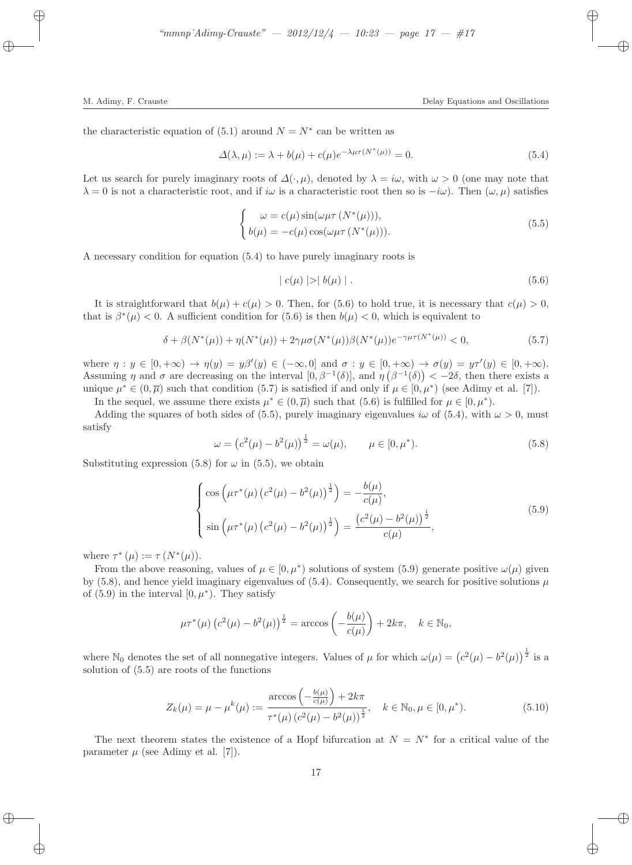the characteristic equation of  $(5.1)$  around  $N = N^*$  can be written as

$$
\Delta(\lambda,\mu) := \lambda + b(\mu) + c(\mu)e^{-\lambda\mu\tau(N^*(\mu))} = 0.
$$
\n(5.4)

Let us search for purely imaginary roots of  $\Delta(\cdot,\mu)$ , denoted by  $\lambda = i\omega$ , with  $\omega > 0$  (one may note that  $\lambda = 0$  is not a characteristic root, and if iω is a characteristic root then so is  $-i\omega$ ). Then  $(\omega, \mu)$  satisfies

$$
\begin{cases}\n\omega = c(\mu) \sin(\omega \mu \tau (N^*(\mu))), \n b(\mu) = -c(\mu) \cos(\omega \mu \tau (N^*(\mu))).\n\end{cases}
$$
\n(5.5)

A necessary condition for equation (5.4) to have purely imaginary roots is

$$
|c(\mu)| > |b(\mu)|.
$$
 (5.6)

It is straightforward that  $b(\mu) + c(\mu) > 0$ . Then, for (5.6) to hold true, it is necessary that  $c(\mu) > 0$ , that is  $\beta^*(\mu) < 0$ . A sufficient condition for (5.6) is then  $b(\mu) < 0$ , which is equivalent to

$$
\delta + \beta(N^*(\mu)) + \eta(N^*(\mu)) + 2\gamma\mu\sigma(N^*(\mu))\beta(N^*(\mu))e^{-\gamma\mu\tau(N^*(\mu))} < 0,\tag{5.7}
$$

where  $\eta: y \in [0, +\infty) \to \eta(y) = y\beta'(y) \in (-\infty, 0]$  and  $\sigma: y \in [0, +\infty) \to \sigma(y) = y\tau'(y) \in [0, +\infty)$ . Assuming  $\eta$  and  $\sigma$  are decreasing on the interval  $[0, \beta^{-1}(\delta)]$ , and  $\eta(\beta^{-1}(\delta)) < -2\delta$ , then there exists a unique  $\mu^* \in (0, \overline{\mu})$  such that condition (5.7) is satisfied if and only if  $\mu \in [0, \mu^*)$  (see Adimy et al. [7]).

In the sequel, we assume there exists  $\mu^* \in (0, \overline{\mu})$  such that  $(5.6)$  is fulfilled for  $\mu \in [0, \mu^*).$ 

Adding the squares of both sides of (5.5), purely imaginary eigenvalues  $i\omega$  of (5.4), with  $\omega > 0$ , must satisfy

$$
\omega = \left(c^2(\mu) - b^2(\mu)\right)^{\frac{1}{2}} = \omega(\mu), \qquad \mu \in [0, \mu^*).
$$
\n(5.8)

Substituting expression (5.8) for  $\omega$  in (5.5), we obtain

$$
\begin{cases}\n\cos\left(\mu\tau^*(\mu)\left(c^2(\mu) - b^2(\mu)\right)^{\frac{1}{2}}\right) = -\frac{b(\mu)}{c(\mu)},\\ \n\sin\left(\mu\tau^*(\mu)\left(c^2(\mu) - b^2(\mu)\right)^{\frac{1}{2}}\right) = \frac{\left(c^2(\mu) - b^2(\mu)\right)^{\frac{1}{2}}}{c(\mu)},\n\end{cases}
$$
\n(5.9)

where  $\tau^*(\mu) := \tau(N^*(\mu)).$ 

From the above reasoning, values of  $\mu \in [0, \mu^*)$  solutions of system (5.9) generate positive  $\omega(\mu)$  given by (5.8), and hence yield imaginary eigenvalues of (5.4). Consequently, we search for positive solutions  $\mu$ of  $(5.9)$  in the interval  $[0, \mu^*$ ). They satisfy

$$
\mu \tau^*(\mu) \left(c^2(\mu) - b^2(\mu)\right)^{\frac{1}{2}} = \arccos\left(-\frac{b(\mu)}{c(\mu)}\right) + 2k\pi, \quad k \in \mathbb{N}_0,
$$

where N<sub>0</sub> denotes the set of all nonnegative integers. Values of  $\mu$  for which  $\omega(\mu) = (c^2(\mu) - b^2(\mu))^{\frac{1}{2}}$  is a solution of (5.5) are roots of the functions

$$
Z_k(\mu) = \mu - \mu^k(\mu) := \frac{\arccos\left(-\frac{b(\mu)}{c(\mu)}\right) + 2k\pi}{\tau^*(\mu) \left(c^2(\mu) - b^2(\mu)\right)^{\frac{1}{2}}}, \quad k \in \mathbb{N}_0, \mu \in [0, \mu^*).
$$
 (5.10)

The next theorem states the existence of a Hopf bifurcation at  $N = N^*$  for a critical value of the parameter  $\mu$  (see Adimy et al. [7]).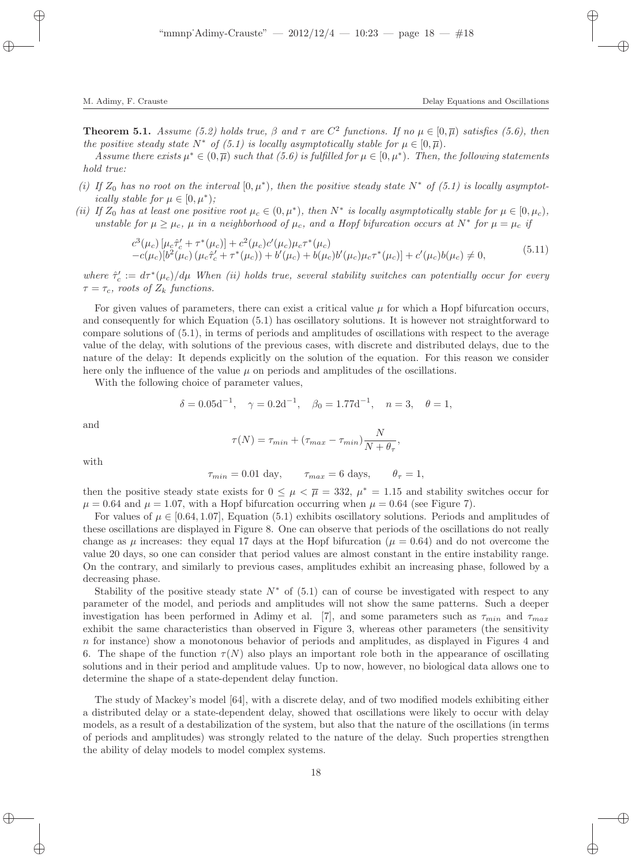**Theorem 5.1.** Assume (5.2) holds true,  $\beta$  and  $\tau$  are  $C^2$  functions. If no  $\mu \in [0,\overline{\mu})$  satisfies (5.6), then the positive steady state  $N^*$  of (5.1) is locally asymptotically stable for  $\mu \in [0, \overline{\mu})$ .

Assume there exists  $\mu^* \in (0,\overline{\mu})$  such that  $(5.6)$  is fulfilled for  $\mu \in [0,\mu^*)$ . Then, the following statements hold true:

- (i) If  $Z_0$  has no root on the interval  $[0, \mu^*)$ , then the positive steady state  $N^*$  of  $(5.1)$  is locally asymptotically stable for  $\mu \in [0, \mu^*);$
- (ii) If  $Z_0$  has at least one positive root  $\mu_c \in (0, \mu^*)$ , then  $N^*$  is locally asymptotically stable for  $\mu \in [0, \mu_c)$ , unstable for  $\mu \ge \mu_c$ ,  $\mu$  in a neighborhood of  $\mu_c$ , and a Hopf bifurcation occurs at  $N^*$  for  $\mu = \mu_c$  if

$$
c^{3}(\mu_{c})\left[\mu_{c}\hat{\tau}'_{c}+\tau^{*}(\mu_{c})\right]+c^{2}(\mu_{c})c'(\mu_{c})\mu_{c}\tau^{*}(\mu_{c})-c(\mu_{c})[b^{2}(\mu_{c})\left(\mu_{c}\hat{\tau}'_{c}+\tau^{*}(\mu_{c})\right)+b'(\mu_{c})+b(\mu_{c})b'(\mu_{c})\mu_{c}\tau^{*}(\mu_{c})]+c'(\mu_{c})b(\mu_{c})\neq 0,
$$
\n(5.11)

where  $\hat{\tau}'_c := d\tau^*(\mu_c)/d\mu$  When (ii) holds true, several stability switches can potentially occur for every  $\tau = \tau_c$ , roots of  $Z_k$  functions.

For given values of parameters, there can exist a critical value  $\mu$  for which a Hopf bifurcation occurs, and consequently for which Equation (5.1) has oscillatory solutions. It is however not straightforward to compare solutions of (5.1), in terms of periods and amplitudes of oscillations with respect to the average value of the delay, with solutions of the previous cases, with discrete and distributed delays, due to the nature of the delay: It depends explicitly on the solution of the equation. For this reason we consider here only the influence of the value  $\mu$  on periods and amplitudes of the oscillations.

With the following choice of parameter values,

$$
\delta = 0.05d^{-1}, \quad \gamma = 0.2d^{-1}, \quad \beta_0 = 1.77d^{-1}, \quad n = 3, \quad \theta = 1,
$$

and

$$
\tau(N) = \tau_{min} + (\tau_{max} - \tau_{min})\frac{N}{N + \theta_{\tau}},
$$

with

$$
\tau_{min} = 0.01 \text{ day}, \qquad \tau_{max} = 6 \text{ days}, \qquad \theta_{\tau} = 1,
$$

then the positive steady state exists for  $0 \leq \mu \leq \overline{\mu} = 332$ ,  $\mu^* = 1.15$  and stability switches occur for  $\mu = 0.64$  and  $\mu = 1.07$ , with a Hopf bifurcation occurring when  $\mu = 0.64$  (see Figure 7).

For values of  $\mu \in [0.64, 1.07]$ , Equation (5.1) exhibits oscillatory solutions. Periods and amplitudes of these oscillations are displayed in Figure 8. One can observe that periods of the oscillations do not really change as  $\mu$  increases: they equal 17 days at the Hopf bifurcation ( $\mu = 0.64$ ) and do not overcome the value 20 days, so one can consider that period values are almost constant in the entire instability range. On the contrary, and similarly to previous cases, amplitudes exhibit an increasing phase, followed by a decreasing phase.

Stability of the positive steady state  $N^*$  of (5.1) can of course be investigated with respect to any parameter of the model, and periods and amplitudes will not show the same patterns. Such a deeper investigation has been performed in Adimy et al. [7], and some parameters such as  $\tau_{min}$  and  $\tau_{max}$ exhibit the same characteristics than observed in Figure 3, whereas other parameters (the sensitivity n for instance) show a monotonous behavior of periods and amplitudes, as displayed in Figures 4 and 6. The shape of the function  $\tau(N)$  also plays an important role both in the appearance of oscillating solutions and in their period and amplitude values. Up to now, however, no biological data allows one to determine the shape of a state-dependent delay function.

The study of Mackey's model [64], with a discrete delay, and of two modified models exhibiting either a distributed delay or a state-dependent delay, showed that oscillations were likely to occur with delay models, as a result of a destabilization of the system, but also that the nature of the oscillations (in terms of periods and amplitudes) was strongly related to the nature of the delay. Such properties strengthen the ability of delay models to model complex systems.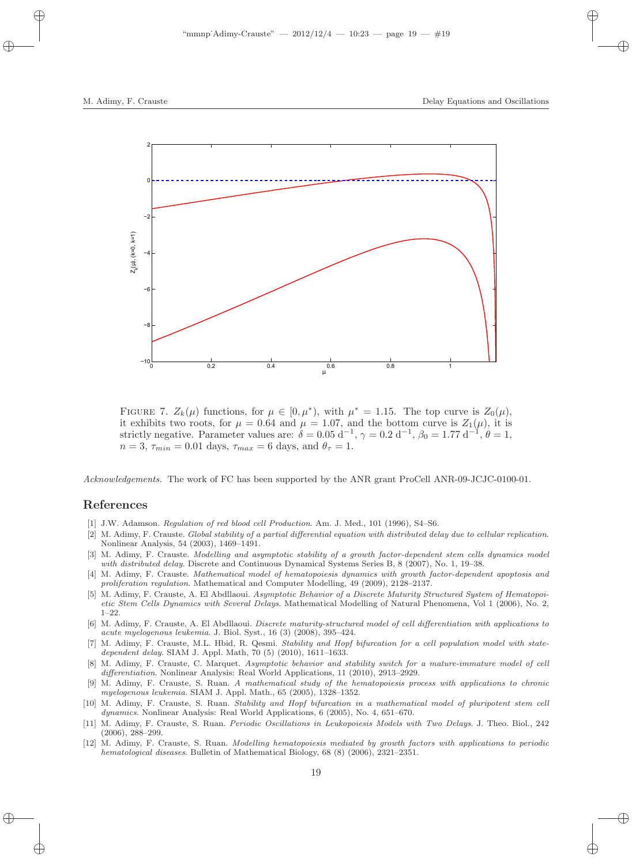

FIGURE 7.  $Z_k(\mu)$  functions, for  $\mu \in [0, \mu^*)$ , with  $\mu^* = 1.15$ . The top curve is  $Z_0(\mu)$ , it exhibits two roots, for  $\mu = 0.64$  and  $\mu = 1.07$ , and the bottom curve is  $Z_1(\mu)$ , it is strictly negative. Parameter values are:  $\delta = 0.05 \, \mathrm{d}^{-1}$ ,  $\gamma = 0.2 \, \mathrm{d}^{-1}$ ,  $\beta_0 = 1.77 \, \mathrm{d}^{-1}$ ,  $\theta = 1$ ,  $n = 3$ ,  $\tau_{min} = 0.01$  days,  $\tau_{max} = 6$  days, and  $\theta_{\tau} = 1$ .

Acknowledgements. The work of FC has been supported by the ANR grant ProCell ANR-09-JCJC-0100-01.

## References

- [1] J.W. Adamson. Regulation of red blood cell Production. Am. J. Med., 101 (1996), S4–S6.
- [2] M. Adimy, F. Crauste. Global stability of a partial differential equation with distributed delay due to cellular replication. Nonlinear Analysis, 54 (2003), 1469–1491.
- [3] M. Adimy, F. Crauste. Modelling and asymptotic stability of a growth factor-dependent stem cells dynamics model with distributed delay. Discrete and Continuous Dynamical Systems Series B, 8 (2007), No. 1, 19–38.
- [4] M. Adimy, F. Crauste. Mathematical model of hematopoiesis dynamics with growth factor-dependent apoptosis and proliferation regulation. Mathematical and Computer Modelling, 49 (2009), 2128–2137.
- [5] M. Adimy, F. Crauste, A. El Abdllaoui. Asymptotic Behavior of a Discrete Maturity Structured System of Hematopoietic Stem Cells Dynamics with Several Delays. Mathematical Modelling of Natural Phenomena, Vol 1 (2006), No. 2, 1–22.
- [6] M. Adimy, F. Crauste, A. El Abdllaoui. Discrete maturity-structured model of cell differentiation with applications to acute myelogenous leukemia. J. Biol. Syst., 16 (3) (2008), 395–424.
- [7] M. Adimy, F. Crauste, M.L. Hbid, R. Qesmi. Stability and Hopf bifurcation for a cell population model with statedependent delay. SIAM J. Appl. Math, 70 (5) (2010), 1611–1633.
- [8] M. Adimy, F. Crauste, C. Marquet. Asymptotic behavior and stability switch for a mature-immature model of cell differentiation. Nonlinear Analysis: Real World Applications, 11 (2010), 2913–2929.
- [9] M. Adimy, F. Crauste, S. Ruan. A mathematical study of the hematopoiesis process with applications to chronic myelogenous leukemia. SIAM J. Appl. Math., 65 (2005), 1328–1352.
- [10] M. Adimy, F. Crauste, S. Ruan. Stability and Hopf bifurcation in a mathematical model of pluripotent stem cell dynamics. Nonlinear Analysis: Real World Applications, 6 (2005), No. 4, 651–670.
- [11] M. Adimy, F. Crauste, S. Ruan. Periodic Oscillations in Leukopoiesis Models with Two Delays. J. Theo. Biol., 242 (2006), 288–299.
- [12] M. Adimy, F. Crauste, S. Ruan. Modelling hematopoiesis mediated by growth factors with applications to periodic hematological diseases. Bulletin of Mathematical Biology, 68 (8) (2006), 2321–2351.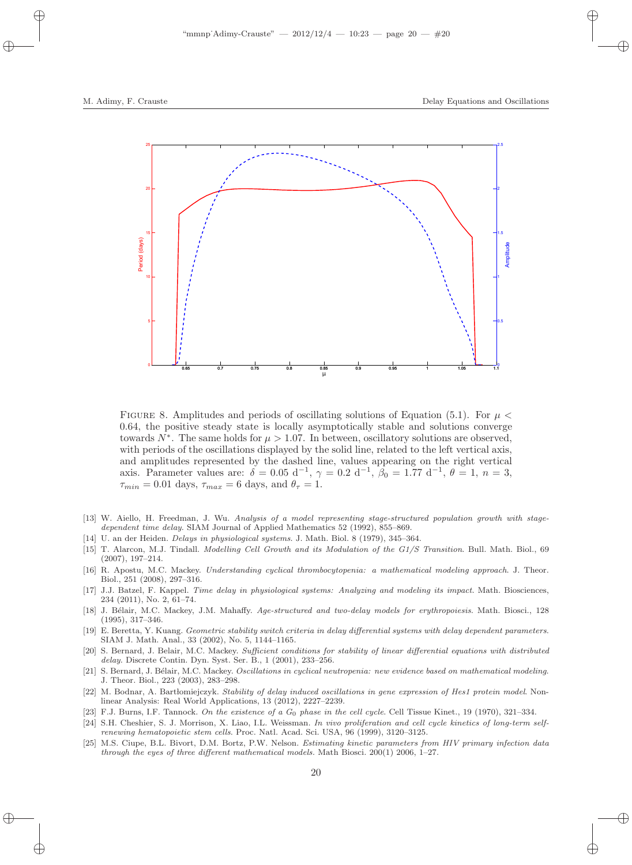

FIGURE 8. Amplitudes and periods of oscillating solutions of Equation (5.1). For  $\mu$  < 0.64, the positive steady state is locally asymptotically stable and solutions converge towards  $N^*$ . The same holds for  $\mu > 1.07$ . In between, oscillatory solutions are observed, with periods of the oscillations displayed by the solid line, related to the left vertical axis, and amplitudes represented by the dashed line, values appearing on the right vertical axis. Parameter values are:  $\delta = 0.05 \, \mathrm{d}^{-1}$ ,  $\gamma = 0.2 \, \mathrm{d}^{-1}$ ,  $\beta_0 = 1.77 \, \mathrm{d}^{-1}$ ,  $\theta = 1$ ,  $n = 3$ ,  $\tau_{min} = 0.01$  days,  $\tau_{max} = 6$  days, and  $\theta_{\tau} = 1$ .

- [13] W. Aiello, H. Freedman, J. Wu. Analysis of a model representing stage-structured population growth with stagedependent time delay. SIAM Journal of Applied Mathematics 52 (1992), 855–869.
- [14] U. an der Heiden. Delays in physiological systems. J. Math. Biol. 8 (1979), 345–364.
- [15] T. Alarcon, M.J. Tindall. Modelling Cell Growth and its Modulation of the G1/S Transition. Bull. Math. Biol., 69 (2007), 197–214.
- [16] R. Apostu, M.C. Mackey. Understanding cyclical thrombocytopenia: a mathematical modeling approach. J. Theor. Biol., 251 (2008), 297–316.
- [17] J.J. Batzel, F. Kappel. Time delay in physiological systems: Analyzing and modeling its impact. Math. Biosciences, 234 (2011), No. 2, 61–74.
- [18] J. Bélair, M.C. Mackey, J.M. Mahaffy. Age-structured and two-delay models for erythropoiesis. Math. Biosci., 128 (1995), 317–346.
- [19] E. Beretta, Y. Kuang. Geometric stability switch criteria in delay differential systems with delay dependent parameters. SIAM J. Math. Anal., 33 (2002), No. 5, 1144–1165.
- [20] S. Bernard, J. Belair, M.C. Mackey. Sufficient conditions for stability of linear differential equations with distributed delay. Discrete Contin. Dyn. Syst. Ser. B., 1 (2001), 233–256.
- [21] S. Bernard, J. Bélair, M.C. Mackey. Oscillations in cyclical neutropenia: new evidence based on mathematical modeling. J. Theor. Biol., 223 (2003), 283–298.
- [22] M. Bodnar, A. Bart lomiejczyk. Stability of delay induced oscillations in gene expression of Hes1 protein model. Nonlinear Analysis: Real World Applications, 13 (2012), 2227–2239.
- [23] F.J. Burns, I.F. Tannock. On the existence of a  $G_0$  phase in the cell cycle. Cell Tissue Kinet., 19 (1970), 321–334.
- [24] S.H. Cheshier, S. J. Morrison, X. Liao, I.L. Weissman. In vivo proliferation and cell cycle kinetics of long-term selfrenewing hematopoietic stem cells. Proc. Natl. Acad. Sci. USA, 96 (1999), 3120–3125.
- [25] M.S. Ciupe, B.L. Bivort, D.M. Bortz, P.W. Nelson. Estimating kinetic parameters from HIV primary infection data through the eyes of three different mathematical models. Math Biosci. 200(1) 2006, 1–27.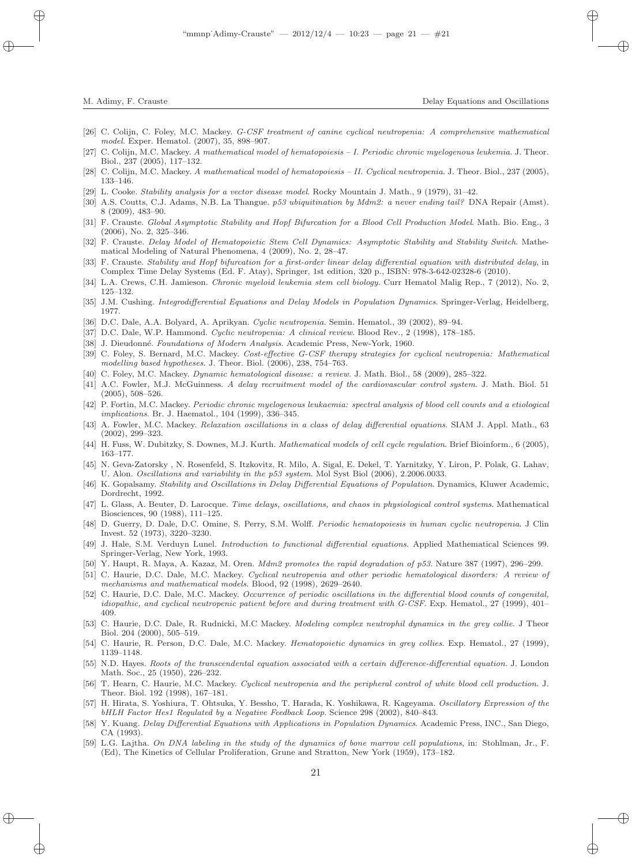- [26] C. Colijn, C. Foley, M.C. Mackey. G-CSF treatment of canine cyclical neutropenia: A comprehensive mathematical model. Exper. Hematol. (2007), 35, 898–907.
- [27] C. Colijn, M.C. Mackey. A mathematical model of hematopoiesis I. Periodic chronic myelogenous leukemia. J. Theor. Biol., 237 (2005), 117–132.
- [28] C. Colijn, M.C. Mackey. A mathematical model of hematopoiesis II. Cyclical neutropenia. J. Theor. Biol., 237 (2005), 133–146.
- [29] L. Cooke. Stability analysis for a vector disease model. Rocky Mountain J. Math., 9 (1979), 31–42.
- [30] A.S. Coutts, C.J. Adams, N.B. La Thangue. p53 ubiquitination by Mdm2: a never ending tail? DNA Repair (Amst). 8 (2009), 483–90.
- [31] F. Crauste. Global Asymptotic Stability and Hopf Bifurcation for a Blood Cell Production Model. Math. Bio. Eng., 3 (2006), No. 2, 325–346.
- [32] F. Crauste. Delay Model of Hematopoietic Stem Cell Dynamics: Asymptotic Stability and Stability Switch. Mathematical Modeling of Natural Phenomena, 4 (2009), No. 2, 28–47.
- [33] F. Crauste. Stability and Hopf bifurcation for a first-order linear delay differential equation with distributed delay, in Complex Time Delay Systems (Ed. F. Atay), Springer, 1st edition, 320 p., ISBN: 978-3-642-02328-6 (2010).
- [34] L.A. Crews, C.H. Jamieson. Chronic myeloid leukemia stem cell biology. Curr Hematol Malig Rep., 7 (2012), No. 2, 125–132.
- [35] J.M. Cushing. Integrodifferential Equations and Delay Models in Population Dynamics. Springer-Verlag, Heidelberg, 1977.
- [36] D.C. Dale, A.A. Bolyard, A. Aprikyan. Cyclic neutropenia. Semin. Hematol., 39 (2002), 89–94.
- [37] D.C. Dale, W.P. Hammond. Cyclic neutropenia: A clinical review. Blood Rev., 2 (1998), 178–185.
- [38] J. Dieudonné. Foundations of Modern Analysis. Academic Press, New-York, 1960.
- [39] C. Foley, S. Bernard, M.C. Mackey. Cost-effective G-CSF therapy strategies for cyclical neutropenia: Mathematical modelling based hypotheses. J. Theor. Biol. (2006), 238, 754–763.
- [40] C. Foley, M.C. Mackey. Dynamic hematological disease: a review. J. Math. Biol., 58 (2009), 285–322.
- [41] A.C. Fowler, M.J. McGuinness. A delay recruitment model of the cardiovascular control system. J. Math. Biol. 51 (2005), 508–526.
- [42] P. Fortin, M.C. Mackey. Periodic chronic myelogenous leukaemia: spectral analysis of blood cell counts and a etiological implications. Br. J. Haematol., 104 (1999), 336–345.
- [43] A. Fowler, M.C. Mackey. Relaxation oscillations in a class of delay differential equations. SIAM J. Appl. Math., 63 (2002), 299–323.
- [44] H. Fuss, W. Dubitzky, S. Downes, M.J. Kurth. *Mathematical models of cell cycle regulation*. Brief Bioinform., 6 (2005), 163–177.
- [45] N. Geva-Zatorsky , N. Rosenfeld, S. Itzkovitz, R. Milo, A. Sigal, E. Dekel, T. Yarnitzky, Y. Liron, P. Polak, G. Lahav, U. Alon. Oscillations and variability in the p53 system. Mol Syst Biol (2006), 2.2006.0033.
- [46] K. Gopalsamy. Stability and Oscillations in Delay Differential Equations of Population. Dynamics, Kluwer Academic, Dordrecht, 1992.
- [47] L. Glass, A. Beuter, D. Larocque. Time delays, oscillations, and chaos in physiological control systems. Mathematical Biosciences, 90 (1988), 111–125.
- [48] D. Guerry, D. Dale, D.C. Omine, S. Perry, S.M. Wolff. Periodic hematopoiesis in human cyclic neutropenia. J Clin Invest. 52 (1973), 3220–3230.
- [49] J. Hale, S.M. Verduyn Lunel. Introduction to functional differential equations. Applied Mathematical Sciences 99. Springer-Verlag, New York, 1993.
- [50] Y. Haupt, R. Maya, A. Kazaz, M. Oren. Mdm2 promotes the rapid degradation of p53. Nature 387 (1997), 296–299.
- [51] C. Haurie, D.C. Dale, M.C. Mackey. Cyclical neutropenia and other periodic hematological disorders: A review of mechanisms and mathematical models. Blood, 92 (1998), 2629–2640.
- [52] C. Haurie, D.C. Dale, M.C. Mackey. Occurrence of periodic oscillations in the differential blood counts of congenital, idiopathic, and cyclical neutropenic patient before and during treatment with G-CSF. Exp. Hematol., 27 (1999), 401– 409.
- [53] C. Haurie, D.C. Dale, R. Rudnicki, M.C Mackey. *Modeling complex neutrophil dynamics in the grey collie.* J Theor Biol. 204 (2000), 505–519.
- [54] C. Haurie, R. Person, D.C. Dale, M.C. Mackey. Hematopoietic dynamics in grey collies. Exp. Hematol., 27 (1999), 1139–1148.
- [55] N.D. Hayes. Roots of the transcendental equation associated with a certain difference-differential equation. J. London Math. Soc., 25 (1950), 226–232.
- [56] T. Hearn, C. Haurie, M.C. Mackey. Cyclical neutropenia and the peripheral control of white blood cell production. J. Theor. Biol. 192 (1998), 167–181.
- [57] H. Hirata, S. Yoshiura, T. Ohtsuka, Y. Bessho, T. Harada, K. Yoshikawa, R. Kageyama. Oscillatory Expression of the bHLH Factor Hes1 Regulated by a Negative Feedback Loop. Science 298 (2002), 840–843.
- [58] Y. Kuang. Delay Differential Equations with Applications in Population Dynamics. Academic Press, INC., San Diego, CA (1993).
- [59] L.G. Lajtha. On DNA labeling in the study of the dynamics of bone marrow cell populations, in: Stohlman, Jr., F. (Ed), The Kinetics of Cellular Proliferation, Grune and Stratton, New York (1959), 173–182.